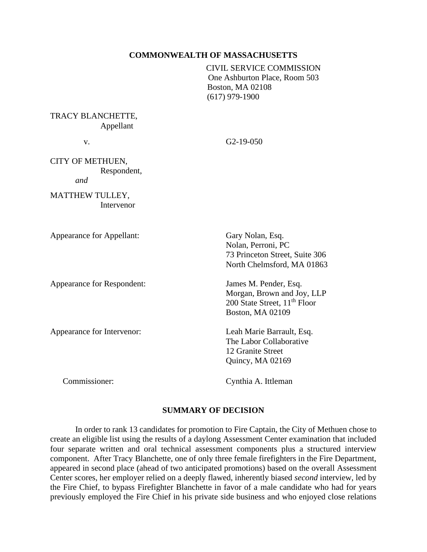### **COMMONWEALTH OF MASSACHUSETTS**

CIVIL SERVICE COMMISSION One Ashburton Place, Room 503 Boston, MA 02108 (617) 979-1900

TRACY BLANCHETTE, Appellant

v. G2-19-050

CITY OF METHUEN, Respondent, *and*

MATTHEW TULLEY, Intervenor

Appearance for Appellant: Gary Nolan, Esq.

Appearance for Respondent: James M. Pender, Esq.

Appearance for Intervenor: Leah Marie Barrault, Esq.

Nolan, Perroni, PC 73 Princeton Street, Suite 306 North Chelmsford, MA 01863

Morgan, Brown and Joy, LLP 200 State Street, 11<sup>th</sup> Floor Boston, MA 02109

The Labor Collaborative 12 Granite Street Quincy, MA 02169

Commissioner: Cynthia A. Ittleman

### **SUMMARY OF DECISION**

In order to rank 13 candidates for promotion to Fire Captain, the City of Methuen chose to create an eligible list using the results of a daylong Assessment Center examination that included four separate written and oral technical assessment components plus a structured interview component. After Tracy Blanchette, one of only three female firefighters in the Fire Department, appeared in second place (ahead of two anticipated promotions) based on the overall Assessment Center scores, her employer relied on a deeply flawed, inherently biased *second* interview, led by the Fire Chief, to bypass Firefighter Blanchette in favor of a male candidate who had for years previously employed the Fire Chief in his private side business and who enjoyed close relations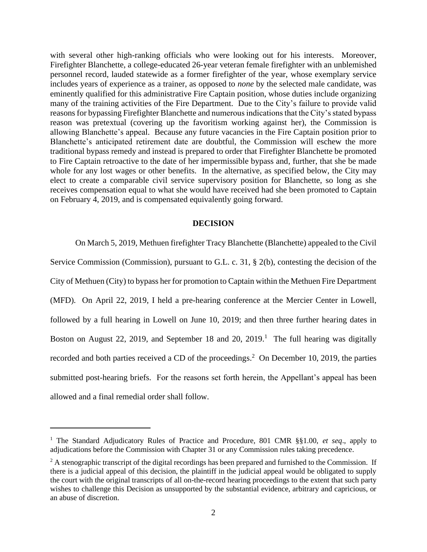with several other high-ranking officials who were looking out for his interests. Moreover, Firefighter Blanchette, a college-educated 26-year veteran female firefighter with an unblemished personnel record, lauded statewide as a former firefighter of the year, whose exemplary service includes years of experience as a trainer, as opposed to *none* by the selected male candidate, was eminently qualified for this administrative Fire Captain position, whose duties include organizing many of the training activities of the Fire Department. Due to the City's failure to provide valid reasons for bypassing Firefighter Blanchette and numerous indications that the City's stated bypass reason was pretextual (covering up the favoritism working against her), the Commission is allowing Blanchette's appeal. Because any future vacancies in the Fire Captain position prior to Blanchette's anticipated retirement date are doubtful, the Commission will eschew the more traditional bypass remedy and instead is prepared to order that Firefighter Blanchette be promoted to Fire Captain retroactive to the date of her impermissible bypass and, further, that she be made whole for any lost wages or other benefits. In the alternative, as specified below, the City may elect to create a comparable civil service supervisory position for Blanchette, so long as she receives compensation equal to what she would have received had she been promoted to Captain on February 4, 2019, and is compensated equivalently going forward.

# **DECISION**

On March 5, 2019, Methuen firefighter Tracy Blanchette (Blanchette) appealed to the Civil Service Commission (Commission), pursuant to G.L. c. 31, § 2(b), contesting the decision of the City of Methuen (City) to bypass her for promotion to Captain within the Methuen Fire Department (MFD). On April 22, 2019, I held a pre-hearing conference at the Mercier Center in Lowell, followed by a full hearing in Lowell on June 10, 2019; and then three further hearing dates in Boston on August 22, 2019, and September 18 and 20, 2019.<sup>1</sup> The full hearing was digitally recorded and both parties received a CD of the proceedings. 2 On December 10, 2019, the parties submitted post-hearing briefs. For the reasons set forth herein, the Appellant's appeal has been allowed and a final remedial order shall follow.

<sup>1</sup> The Standard Adjudicatory Rules of Practice and Procedure, 801 CMR §§1.00, *et seq*., apply to adjudications before the Commission with Chapter 31 or any Commission rules taking precedence.

<sup>&</sup>lt;sup>2</sup> A stenographic transcript of the digital recordings has been prepared and furnished to the Commission. If there is a judicial appeal of this decision, the plaintiff in the judicial appeal would be obligated to supply the court with the original transcripts of all on-the-record hearing proceedings to the extent that such party wishes to challenge this Decision as unsupported by the substantial evidence, arbitrary and capricious, or an abuse of discretion.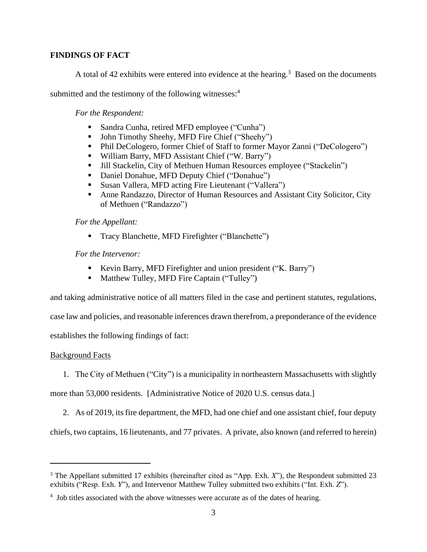# **FINDINGS OF FACT**

A total of 42 exhibits were entered into evidence at the hearing.<sup>3</sup> Based on the documents

submitted and the testimony of the following witnesses:<sup>4</sup>

*For the Respondent:* 

- Sandra Cunha, retired MFD employee ("Cunha")
- John Timothy Sheehy, MFD Fire Chief ("Sheehy")
- Phil DeCologero, former Chief of Staff to former Mayor Zanni ("DeCologero")
- William Barry, MFD Assistant Chief ("W. Barry")
- Jill Stackelin, City of Methuen Human Resources employee ("Stackelin")
- Daniel Donahue, MFD Deputy Chief ("Donahue")
- Susan Vallera, MFD acting Fire Lieutenant ("Vallera")
- Anne Randazzo, Director of Human Resources and Assistant City Solicitor, City of Methuen ("Randazzo")

*For the Appellant:*

■ Tracy Blanchette, MFD Firefighter ("Blanchette")

*For the Intervenor:* 

- Kevin Barry, MFD Firefighter and union president ("K. Barry")
- Matthew Tulley, MFD Fire Captain ("Tulley")

and taking administrative notice of all matters filed in the case and pertinent statutes, regulations,

case law and policies, and reasonable inferences drawn therefrom, a preponderance of the evidence

establishes the following findings of fact:

# Background Facts

1. The City of Methuen ("City") is a municipality in northeastern Massachusetts with slightly

more than 53,000 residents. [Administrative Notice of 2020 U.S. census data.]

2. As of 2019, its fire department, the MFD, had one chief and one assistant chief, four deputy

chiefs, two captains, 16 lieutenants, and 77 privates. A private, also known (and referred to herein)

<sup>&</sup>lt;sup>3</sup> The Appellant submitted 17 exhibits (hereinafter cited as "App. Exh. *X*"), the Respondent submitted 23 exhibits ("Resp. Exh. *Y*"), and Intervenor Matthew Tulley submitted two exhibits ("Int. Exh. *Z*").

<sup>&</sup>lt;sup>4</sup> Job titles associated with the above witnesses were accurate as of the dates of hearing.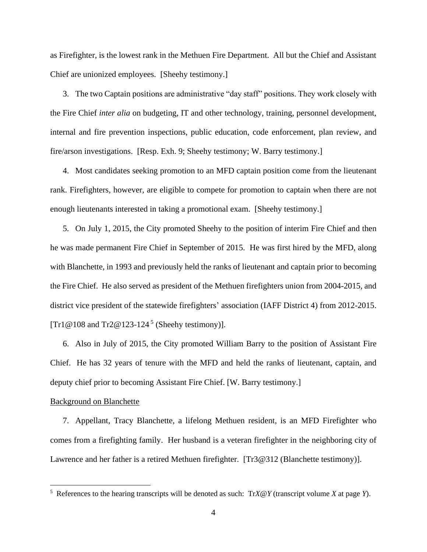as Firefighter, is the lowest rank in the Methuen Fire Department. All but the Chief and Assistant Chief are unionized employees. [Sheehy testimony.]

3. The two Captain positions are administrative "day staff" positions. They work closely with the Fire Chief *inter alia* on budgeting, IT and other technology, training, personnel development, internal and fire prevention inspections, public education, code enforcement, plan review, and fire/arson investigations. [Resp. Exh. 9; Sheehy testimony; W. Barry testimony.]

4. Most candidates seeking promotion to an MFD captain position come from the lieutenant rank. Firefighters, however, are eligible to compete for promotion to captain when there are not enough lieutenants interested in taking a promotional exam. [Sheehy testimony.]

5. On July 1, 2015, the City promoted Sheehy to the position of interim Fire Chief and then he was made permanent Fire Chief in September of 2015. He was first hired by the MFD, along with Blanchette, in 1993 and previously held the ranks of lieutenant and captain prior to becoming the Fire Chief. He also served as president of the Methuen firefighters union from 2004-2015, and district vice president of the statewide firefighters' association (IAFF District 4) from 2012-2015. [Tr1@108 and Tr2@123-124<sup>5</sup> (Sheehy testimony)].

6. Also in July of 2015, the City promoted William Barry to the position of Assistant Fire Chief. He has 32 years of tenure with the MFD and held the ranks of lieutenant, captain, and deputy chief prior to becoming Assistant Fire Chief. [W. Barry testimony.]

### Background on Blanchette

7. Appellant, Tracy Blanchette, a lifelong Methuen resident, is an MFD Firefighter who comes from a firefighting family. Her husband is a veteran firefighter in the neighboring city of Lawrence and her father is a retired Methuen firefighter. [Tr3@312 (Blanchette testimony)].

<sup>5</sup> References to the hearing transcripts will be denoted as such: Tr*X*@*Y* (transcript volume *X* at page *Y*).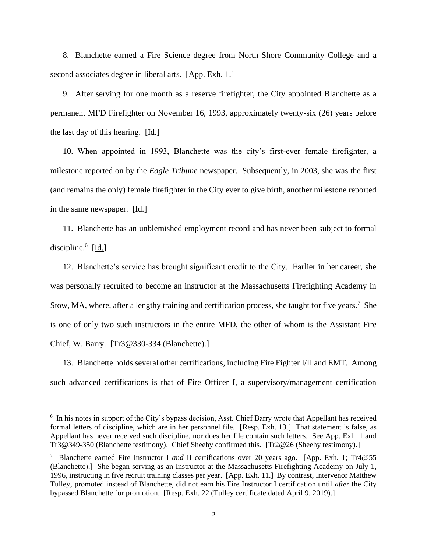8. Blanchette earned a Fire Science degree from North Shore Community College and a second associates degree in liberal arts. [App. Exh. 1.]

9. After serving for one month as a reserve firefighter, the City appointed Blanchette as a permanent MFD Firefighter on November 16, 1993, approximately twenty-six (26) years before the last day of this hearing. [Id.]

10. When appointed in 1993, Blanchette was the city's first-ever female firefighter, a milestone reported on by the *Eagle Tribune* newspaper. Subsequently, in 2003, she was the first (and remains the only) female firefighter in the City ever to give birth, another milestone reported in the same newspaper. [Id.]

11. Blanchette has an unblemished employment record and has never been subject to formal discipline.<sup>6</sup> [Id.]

12. Blanchette's service has brought significant credit to the City. Earlier in her career, she was personally recruited to become an instructor at the Massachusetts Firefighting Academy in Stow, MA, where, after a lengthy training and certification process, she taught for five years.<sup>7</sup> She is one of only two such instructors in the entire MFD, the other of whom is the Assistant Fire Chief, W. Barry. [Tr3@330-334 (Blanchette).]

13. Blanchette holds several other certifications, including Fire Fighter I/II and EMT. Among such advanced certifications is that of Fire Officer I, a supervisory/management certification

<sup>&</sup>lt;sup>6</sup> In his notes in support of the City's bypass decision, Asst. Chief Barry wrote that Appellant has received formal letters of discipline, which are in her personnel file. [Resp. Exh. 13.] That statement is false, as Appellant has never received such discipline, nor does her file contain such letters. See App. Exh. 1 and Tr3@349-350 (Blanchette testimony). Chief Sheehy confirmed this. [Tr2@26 (Sheehy testimony).]

<sup>&</sup>lt;sup>7</sup> Blanchette earned Fire Instructor I and II certifications over 20 years ago. [App. Exh. 1; Tr4@55 (Blanchette).] She began serving as an Instructor at the Massachusetts Firefighting Academy on July 1, 1996, instructing in five recruit training classes per year. [App. Exh. 11.] By contrast, Intervenor Matthew Tulley, promoted instead of Blanchette, did not earn his Fire Instructor I certification until *after* the City bypassed Blanchette for promotion. [Resp. Exh. 22 (Tulley certificate dated April 9, 2019).]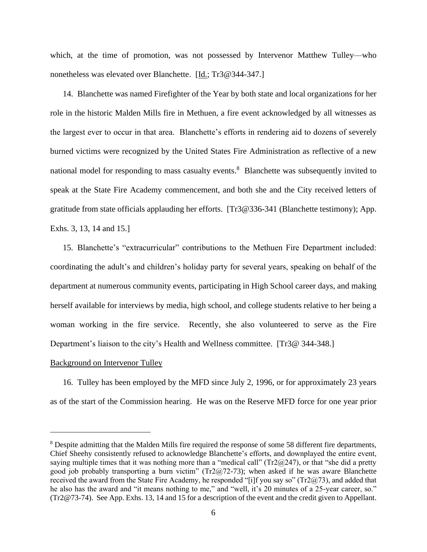which, at the time of promotion, was not possessed by Intervenor Matthew Tulley—who nonetheless was elevated over Blanchette. [Id.; Tr3@344-347.]

14. Blanchette was named Firefighter of the Year by both state and local organizations for her role in the historic Malden Mills fire in Methuen, a fire event acknowledged by all witnesses as the largest ever to occur in that area. Blanchette's efforts in rendering aid to dozens of severely burned victims were recognized by the United States Fire Administration as reflective of a new national model for responding to mass casualty events.<sup>8</sup> Blanchette was subsequently invited to speak at the State Fire Academy commencement, and both she and the City received letters of gratitude from state officials applauding her efforts. [Tr3@336-341 (Blanchette testimony); App. Exhs. 3, 13, 14 and 15.]

15. Blanchette's "extracurricular" contributions to the Methuen Fire Department included: coordinating the adult's and children's holiday party for several years, speaking on behalf of the department at numerous community events, participating in High School career days, and making herself available for interviews by media, high school, and college students relative to her being a woman working in the fire service. Recently, she also volunteered to serve as the Fire Department's liaison to the city's Health and Wellness committee. [Tr3@ 344-348.]

### Background on Intervenor Tulley

16. Tulley has been employed by the MFD since July 2, 1996, or for approximately 23 years as of the start of the Commission hearing. He was on the Reserve MFD force for one year prior

<sup>&</sup>lt;sup>8</sup> Despite admitting that the Malden Mills fire required the response of some 58 different fire departments, Chief Sheehy consistently refused to acknowledge Blanchette's efforts, and downplayed the entire event, saying multiple times that it was nothing more than a "medical call" ( $Tr2@247$ ), or that "she did a pretty good job probably transporting a burn victim" (Tr2@72-73); when asked if he was aware Blanchette received the award from the State Fire Academy, he responded "[i]f you say so" (Tr2@73), and added that he also has the award and "it means nothing to me," and "well, it's 20 minutes of a 25-year career, so." (Tr2@73-74). See App. Exhs. 13, 14 and 15 for a description of the event and the credit given to Appellant.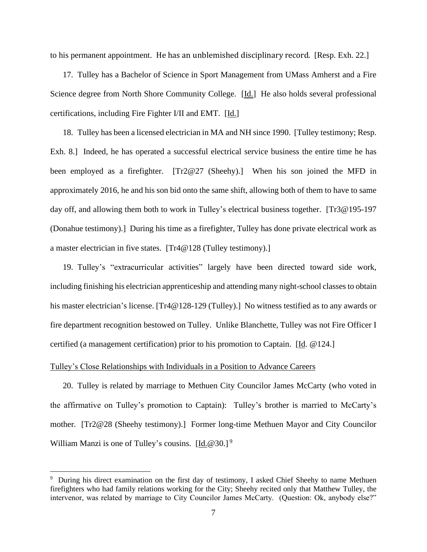to his permanent appointment. He has an unblemished disciplinary record. [Resp. Exh. 22.]

17. Tulley has a Bachelor of Science in Sport Management from UMass Amherst and a Fire Science degree from North Shore Community College. [Id.] He also holds several professional certifications, including Fire Fighter I/II and EMT. [Id.]

18. Tulley has been a licensed electrician in MA and NH since 1990. [Tulley testimony; Resp. Exh. 8.] Indeed, he has operated a successful electrical service business the entire time he has been employed as a firefighter. [Tr2@27 (Sheehy).] When his son joined the MFD in approximately 2016, he and his son bid onto the same shift, allowing both of them to have to same day off, and allowing them both to work in Tulley's electrical business together. [Tr3@195-197 (Donahue testimony).] During his time as a firefighter, Tulley has done private electrical work as a master electrician in five states. [Tr4@128 (Tulley testimony).]

19. Tulley's "extracurricular activities" largely have been directed toward side work, including finishing his electrician apprenticeship and attending many night-school classes to obtain his master electrician's license. [Tr4@128-129 (Tulley).] No witness testified as to any awards or fire department recognition bestowed on Tulley. Unlike Blanchette, Tulley was not Fire Officer I certified (a management certification) prior to his promotion to Captain. [Id. @124.]

## Tulley's Close Relationships with Individuals in a Position to Advance Careers

20. Tulley is related by marriage to Methuen City Councilor James McCarty (who voted in the affirmative on Tulley's promotion to Captain): Tulley's brother is married to McCarty's mother. [Tr2@28 (Sheehy testimony).] Former long-time Methuen Mayor and City Councilor William Manzi is one of Tulley's cousins. [Id.@30.]<sup>9</sup>

<sup>&</sup>lt;sup>9</sup> During his direct examination on the first day of testimony, I asked Chief Sheehy to name Methuen firefighters who had family relations working for the City; Sheehy recited only that Matthew Tulley, the intervenor, was related by marriage to City Councilor James McCarty. (Question: Ok, anybody else?"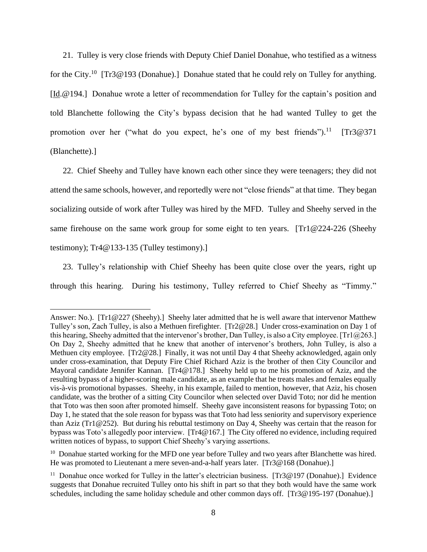21. Tulley is very close friends with Deputy Chief Daniel Donahue, who testified as a witness for the City.<sup>10</sup> [Tr3@193 (Donahue).] Donahue stated that he could rely on Tulley for anything. [Id.@194.] Donahue wrote a letter of recommendation for Tulley for the captain's position and told Blanchette following the City's bypass decision that he had wanted Tulley to get the promotion over her ("what do you expect, he's one of my best friends").  $[Tr3@371]$ (Blanchette).]

22. Chief Sheehy and Tulley have known each other since they were teenagers; they did not attend the same schools, however, and reportedly were not "close friends" at that time. They began socializing outside of work after Tulley was hired by the MFD. Tulley and Sheehy served in the same firehouse on the same work group for some eight to ten years. [Tr1@224-226 (Sheehy testimony); Tr4@133-135 (Tulley testimony).]

23. Tulley's relationship with Chief Sheehy has been quite close over the years, right up through this hearing. During his testimony, Tulley referred to Chief Sheehy as "Timmy."

Answer: No.). [Tr1@227 (Sheehy).] Sheehy later admitted that he is well aware that intervenor Matthew Tulley's son, Zach Tulley, is also a Methuen firefighter. [Tr2@28.] Under cross-examination on Day 1 of this hearing, Sheehy admitted that the intervenor's brother, Dan Tulley, is also a City employee. [Tr1@263.] On Day 2, Sheehy admitted that he knew that another of intervenor's brothers, John Tulley, is also a Methuen city employee. [Tr2@28.] Finally, it was not until Day 4 that Sheehy acknowledged, again only under cross-examination, that Deputy Fire Chief Richard Aziz is the brother of then City Councilor and Mayoral candidate Jennifer Kannan. [Tr4@178.] Sheehy held up to me his promotion of Aziz, and the resulting bypass of a higher-scoring male candidate, as an example that he treats males and females equally vis-à-vis promotional bypasses. Sheehy, in his example, failed to mention, however, that Aziz, his chosen candidate, was the brother of a sitting City Councilor when selected over David Toto; nor did he mention that Toto was then soon after promoted himself. Sheehy gave inconsistent reasons for bypassing Toto; on Day 1, he stated that the sole reason for bypass was that Toto had less seniority and supervisory experience than Aziz (Tr1@252). But during his rebuttal testimony on Day 4, Sheehy was certain that the reason for bypass was Toto's allegedly poor interview. [Tr4@167.] The City offered no evidence, including required written notices of bypass, to support Chief Sheehy's varying assertions.

<sup>&</sup>lt;sup>10</sup> Donahue started working for the MFD one year before Tulley and two years after Blanchette was hired. He was promoted to Lieutenant a mere seven-and-a-half years later. [Tr3@168 (Donahue).]

<sup>&</sup>lt;sup>11</sup> Donahue once worked for Tulley in the latter's electrician business. [Tr3@197 (Donahue).] Evidence suggests that Donahue recruited Tulley onto his shift in part so that they both would have the same work schedules, including the same holiday schedule and other common days off. [Tr3@195-197 (Donahue).]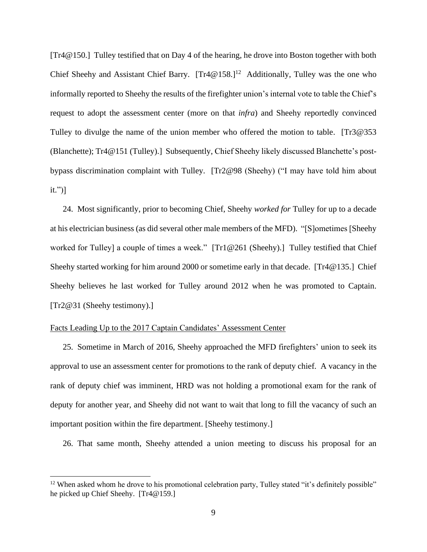[Tr4@150.] Tulley testified that on Day 4 of the hearing, he drove into Boston together with both Chief Sheehy and Assistant Chief Barry.  $[Tr4@158.]^{12}$  Additionally, Tulley was the one who informally reported to Sheehy the results of the firefighter union's internal vote to table the Chief's request to adopt the assessment center (more on that *infra*) and Sheehy reportedly convinced Tulley to divulge the name of the union member who offered the motion to table. [Tr3@353 (Blanchette); Tr4@151 (Tulley).] Subsequently, Chief Sheehy likely discussed Blanchette's postbypass discrimination complaint with Tulley. [Tr2@98 (Sheehy) ("I may have told him about it.")]

24. Most significantly, prior to becoming Chief, Sheehy *worked for* Tulley for up to a decade at his electrician business (as did several other male members of the MFD). "[S]ometimes [Sheehy worked for Tulley] a couple of times a week." [Tr1@261 (Sheehy).] Tulley testified that Chief Sheehy started working for him around 2000 or sometime early in that decade. [Tr4@135.] Chief Sheehy believes he last worked for Tulley around 2012 when he was promoted to Captain. [Tr2@31 (Sheehy testimony).]

## Facts Leading Up to the 2017 Captain Candidates' Assessment Center

25. Sometime in March of 2016, Sheehy approached the MFD firefighters' union to seek its approval to use an assessment center for promotions to the rank of deputy chief. A vacancy in the rank of deputy chief was imminent, HRD was not holding a promotional exam for the rank of deputy for another year, and Sheehy did not want to wait that long to fill the vacancy of such an important position within the fire department. [Sheehy testimony.]

26. That same month, Sheehy attended a union meeting to discuss his proposal for an

 $12$  When asked whom he drove to his promotional celebration party, Tulley stated "it's definitely possible" he picked up Chief Sheehy. [Tr4@159.]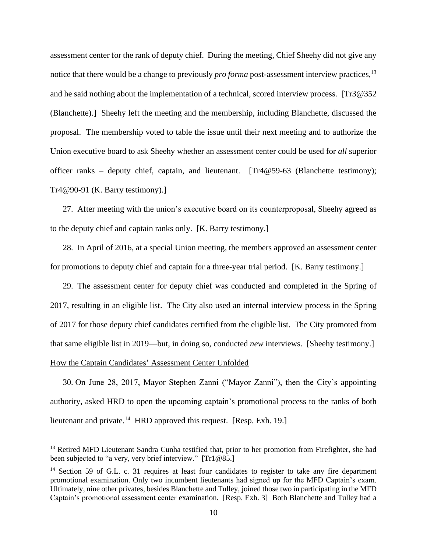assessment center for the rank of deputy chief. During the meeting, Chief Sheehy did not give any notice that there would be a change to previously *pro forma* post-assessment interview practices, 13 and he said nothing about the implementation of a technical, scored interview process. [Tr3@352 (Blanchette).] Sheehy left the meeting and the membership, including Blanchette, discussed the proposal. The membership voted to table the issue until their next meeting and to authorize the Union executive board to ask Sheehy whether an assessment center could be used for *all* superior officer ranks – deputy chief, captain, and lieutenant. [Tr4@59-63 (Blanchette testimony); Tr4@90-91 (K. Barry testimony).]

27. After meeting with the union's executive board on its counterproposal, Sheehy agreed as to the deputy chief and captain ranks only. [K. Barry testimony.]

28. In April of 2016, at a special Union meeting, the members approved an assessment center for promotions to deputy chief and captain for a three-year trial period. [K. Barry testimony.]

29. The assessment center for deputy chief was conducted and completed in the Spring of 2017, resulting in an eligible list. The City also used an internal interview process in the Spring of 2017 for those deputy chief candidates certified from the eligible list. The City promoted from that same eligible list in 2019—but, in doing so, conducted *new* interviews. [Sheehy testimony.] How the Captain Candidates' Assessment Center Unfolded

30. On June 28, 2017, Mayor Stephen Zanni ("Mayor Zanni"), then the City's appointing authority, asked HRD to open the upcoming captain's promotional process to the ranks of both lieutenant and private.<sup>14</sup> HRD approved this request. [Resp. Exh. 19.]

<sup>&</sup>lt;sup>13</sup> Retired MFD Lieutenant Sandra Cunha testified that, prior to her promotion from Firefighter, she had been subjected to "a very, very brief interview." [Tr1@85.]

<sup>&</sup>lt;sup>14</sup> Section 59 of G.L. c. 31 requires at least four candidates to register to take any fire department promotional examination. Only two incumbent lieutenants had signed up for the MFD Captain's exam. Ultimately, nine other privates, besides Blanchette and Tulley, joined those two in participating in the MFD Captain's promotional assessment center examination. [Resp. Exh. 3] Both Blanchette and Tulley had a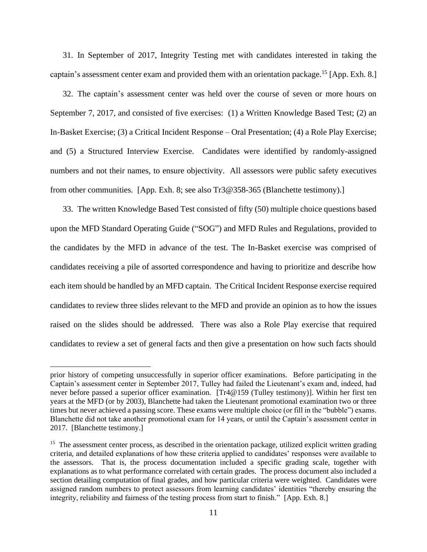31. In September of 2017, Integrity Testing met with candidates interested in taking the captain's assessment center exam and provided them with an orientation package.<sup>15</sup> [App. Exh. 8.]

32. The captain's assessment center was held over the course of seven or more hours on September 7, 2017, and consisted of five exercises: (1) a Written Knowledge Based Test; (2) an In-Basket Exercise; (3) a Critical Incident Response – Oral Presentation; (4) a Role Play Exercise; and (5) a Structured Interview Exercise. Candidates were identified by randomly-assigned numbers and not their names, to ensure objectivity. All assessors were public safety executives from other communities. [App. Exh. 8; see also Tr3@358-365 (Blanchette testimony).]

33. The written Knowledge Based Test consisted of fifty (50) multiple choice questions based upon the MFD Standard Operating Guide ("SOG") and MFD Rules and Regulations, provided to the candidates by the MFD in advance of the test. The In-Basket exercise was comprised of candidates receiving a pile of assorted correspondence and having to prioritize and describe how each item should be handled by an MFD captain. The Critical Incident Response exercise required candidates to review three slides relevant to the MFD and provide an opinion as to how the issues raised on the slides should be addressed. There was also a Role Play exercise that required candidates to review a set of general facts and then give a presentation on how such facts should

prior history of competing unsuccessfully in superior officer examinations. Before participating in the Captain's assessment center in September 2017, Tulley had failed the Lieutenant's exam and, indeed, had never before passed a superior officer examination. [Tr4@159 (Tulley testimony)]. Within her first ten years at the MFD (or by 2003), Blanchette had taken the Lieutenant promotional examination two or three times but never achieved a passing score. These exams were multiple choice (or fill in the "bubble") exams. Blanchette did not take another promotional exam for 14 years, or until the Captain's assessment center in 2017. [Blanchette testimony.]

<sup>&</sup>lt;sup>15</sup> The assessment center process, as described in the orientation package, utilized explicit written grading criteria, and detailed explanations of how these criteria applied to candidates' responses were available to the assessors. That is, the process documentation included a specific grading scale, together with explanations as to what performance correlated with certain grades. The process document also included a section detailing computation of final grades, and how particular criteria were weighted. Candidates were assigned random numbers to protect assessors from learning candidates' identities "thereby ensuring the integrity, reliability and fairness of the testing process from start to finish." [App. Exh. 8.]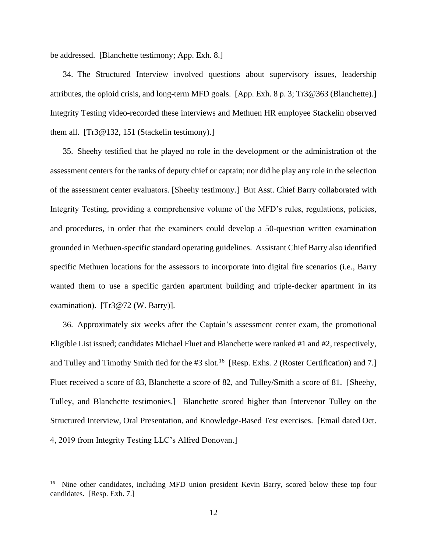be addressed. [Blanchette testimony; App. Exh. 8.]

34. The Structured Interview involved questions about supervisory issues, leadership attributes, the opioid crisis, and long-term MFD goals. [App. Exh. 8 p. 3; Tr3@363 (Blanchette).] Integrity Testing video-recorded these interviews and Methuen HR employee Stackelin observed them all. [Tr3@132, 151 (Stackelin testimony).]

35. Sheehy testified that he played no role in the development or the administration of the assessment centers for the ranks of deputy chief or captain; nor did he play any role in the selection of the assessment center evaluators. [Sheehy testimony.] But Asst. Chief Barry collaborated with Integrity Testing, providing a comprehensive volume of the MFD's rules, regulations, policies, and procedures, in order that the examiners could develop a 50-question written examination grounded in Methuen-specific standard operating guidelines. Assistant Chief Barry also identified specific Methuen locations for the assessors to incorporate into digital fire scenarios (i.e., Barry wanted them to use a specific garden apartment building and triple-decker apartment in its examination). [Tr3@72 (W. Barry)].

36. Approximately six weeks after the Captain's assessment center exam, the promotional Eligible List issued; candidates Michael Fluet and Blanchette were ranked #1 and #2, respectively, and Tulley and Timothy Smith tied for the #3 slot.<sup>16</sup> [Resp. Exhs. 2 (Roster Certification) and 7.] Fluet received a score of 83, Blanchette a score of 82, and Tulley/Smith a score of 81. [Sheehy, Tulley, and Blanchette testimonies.] Blanchette scored higher than Intervenor Tulley on the Structured Interview, Oral Presentation, and Knowledge-Based Test exercises. [Email dated Oct. 4, 2019 from Integrity Testing LLC's Alfred Donovan.]

<sup>&</sup>lt;sup>16</sup> Nine other candidates, including MFD union president Kevin Barry, scored below these top four candidates. [Resp. Exh. 7.]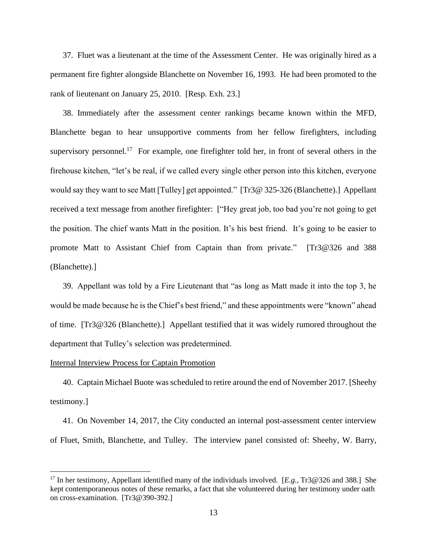37. Fluet was a lieutenant at the time of the Assessment Center. He was originally hired as a permanent fire fighter alongside Blanchette on November 16, 1993. He had been promoted to the rank of lieutenant on January 25, 2010. [Resp. Exh. 23.]

38. Immediately after the assessment center rankings became known within the MFD, Blanchette began to hear unsupportive comments from her fellow firefighters, including supervisory personnel.<sup>17</sup> For example, one firefighter told her, in front of several others in the firehouse kitchen, "let's be real, if we called every single other person into this kitchen, everyone would say they want to see Matt [Tulley] get appointed." [Tr3@ 325-326 (Blanchette).] Appellant received a text message from another firefighter: ["Hey great job, too bad you're not going to get the position. The chief wants Matt in the position. It's his best friend. It's going to be easier to promote Matt to Assistant Chief from Captain than from private." [Tr3@326 and 388 (Blanchette).]

39. Appellant was told by a Fire Lieutenant that "as long as Matt made it into the top 3, he would be made because he is the Chief's best friend," and these appointments were "known" ahead of time. [Tr3@326 (Blanchette).] Appellant testified that it was widely rumored throughout the department that Tulley's selection was predetermined.

## Internal Interview Process for Captain Promotion

40. Captain Michael Buote was scheduled to retire around the end of November 2017. [Sheehy testimony.]

41. On November 14, 2017, the City conducted an internal post-assessment center interview of Fluet, Smith, Blanchette, and Tulley. The interview panel consisted of: Sheehy, W. Barry,

<sup>17</sup> In her testimony, Appellant identified many of the individuals involved. [*E.g.*, Tr3@326 and 388.] She kept contemporaneous notes of these remarks, a fact that she volunteered during her testimony under oath on cross-examination. [Tr3@390-392.]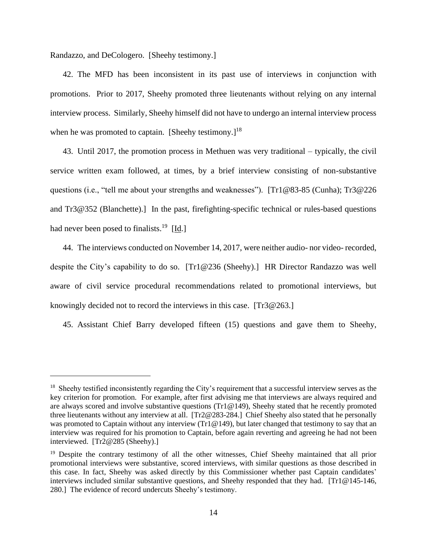Randazzo, and DeCologero. [Sheehy testimony.]

42. The MFD has been inconsistent in its past use of interviews in conjunction with promotions. Prior to 2017, Sheehy promoted three lieutenants without relying on any internal interview process. Similarly, Sheehy himself did not have to undergo an internal interview process when he was promoted to captain. [Sheehy testimony.]<sup>18</sup>

43. Until 2017, the promotion process in Methuen was very traditional – typically, the civil service written exam followed, at times, by a brief interview consisting of non-substantive questions (i.e., "tell me about your strengths and weaknesses"). [Tr1@83-85 (Cunha); Tr3@226 and Tr3@352 (Blanchette).] In the past, firefighting-specific technical or rules-based questions had never been posed to finalists.<sup>19</sup> [Id.]

44. The interviews conducted on November 14, 2017, were neither audio- nor video- recorded, despite the City's capability to do so. [Tr1@236 (Sheehy).] HR Director Randazzo was well aware of civil service procedural recommendations related to promotional interviews, but knowingly decided not to record the interviews in this case. [Tr3@263.]

45. Assistant Chief Barry developed fifteen (15) questions and gave them to Sheehy,

<sup>&</sup>lt;sup>18</sup> Sheehy testified inconsistently regarding the City's requirement that a successful interview serves as the key criterion for promotion. For example, after first advising me that interviews are always required and are always scored and involve substantive questions (Tr1 $@149$ ), Sheehy stated that he recently promoted three lieutenants without any interview at all. [Tr2@283-284.] Chief Sheehy also stated that he personally was promoted to Captain without any interview (Tr1@149), but later changed that testimony to say that an interview was required for his promotion to Captain, before again reverting and agreeing he had not been interviewed. [Tr2@285 (Sheehy).]

<sup>&</sup>lt;sup>19</sup> Despite the contrary testimony of all the other witnesses, Chief Sheehy maintained that all prior promotional interviews were substantive, scored interviews, with similar questions as those described in this case. In fact, Sheehy was asked directly by this Commissioner whether past Captain candidates' interviews included similar substantive questions, and Sheehy responded that they had. [Tr1@145-146, 280.] The evidence of record undercuts Sheehy's testimony.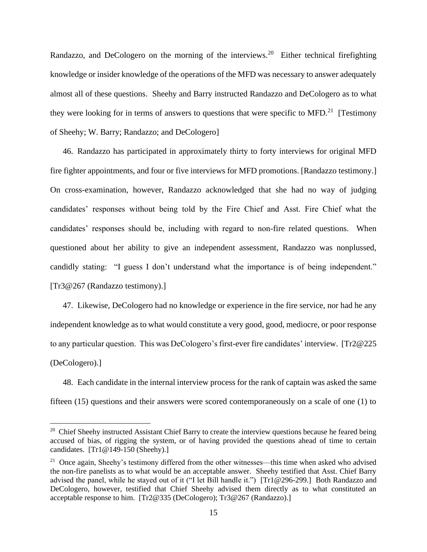Randazzo, and DeCologero on the morning of the interviews.<sup>20</sup> Either technical firefighting knowledge or insider knowledge of the operations of the MFD was necessary to answer adequately almost all of these questions. Sheehy and Barry instructed Randazzo and DeCologero as to what they were looking for in terms of answers to questions that were specific to MFD.<sup>21</sup> [Testimony of Sheehy; W. Barry; Randazzo; and DeCologero]

46. Randazzo has participated in approximately thirty to forty interviews for original MFD fire fighter appointments, and four or five interviews for MFD promotions. [Randazzo testimony.] On cross-examination, however, Randazzo acknowledged that she had no way of judging candidates' responses without being told by the Fire Chief and Asst. Fire Chief what the candidates' responses should be, including with regard to non-fire related questions. When questioned about her ability to give an independent assessment, Randazzo was nonplussed, candidly stating: "I guess I don't understand what the importance is of being independent." [Tr3@267 (Randazzo testimony).]

47. Likewise, DeCologero had no knowledge or experience in the fire service, nor had he any independent knowledge as to what would constitute a very good, good, mediocre, or poor response to any particular question. This was DeCologero's first-ever fire candidates' interview. [Tr2@225 (DeCologero).]

48. Each candidate in the internal interview process for the rank of captain was asked the same fifteen (15) questions and their answers were scored contemporaneously on a scale of one (1) to

<sup>&</sup>lt;sup>20</sup> Chief Sheehy instructed Assistant Chief Barry to create the interview questions because he feared being accused of bias, of rigging the system, or of having provided the questions ahead of time to certain candidates.  $[Tr1@149-150$  (Sheehy).]

<sup>&</sup>lt;sup>21</sup> Once again, Sheehy's testimony differed from the other witnesses—this time when asked who advised the non-fire panelists as to what would be an acceptable answer. Sheehy testified that Asst. Chief Barry advised the panel, while he stayed out of it ("I let Bill handle it.") [Tr1@296-299.] Both Randazzo and DeCologero, however, testified that Chief Sheehy advised them directly as to what constituted an acceptable response to him. [Tr2@335 (DeCologero); Tr3@267 (Randazzo).]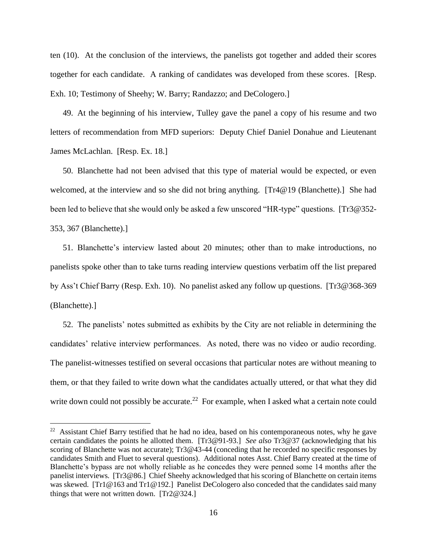ten (10). At the conclusion of the interviews, the panelists got together and added their scores together for each candidate. A ranking of candidates was developed from these scores. [Resp. Exh. 10; Testimony of Sheehy; W. Barry; Randazzo; and DeCologero.]

49. At the beginning of his interview, Tulley gave the panel a copy of his resume and two letters of recommendation from MFD superiors: Deputy Chief Daniel Donahue and Lieutenant James McLachlan. [Resp. Ex. 18.]

50. Blanchette had not been advised that this type of material would be expected, or even welcomed, at the interview and so she did not bring anything. [Tr4@19 (Blanchette).] She had been led to believe that she would only be asked a few unscored "HR-type" questions. [Tr3@352-353, 367 (Blanchette).]

51. Blanchette's interview lasted about 20 minutes; other than to make introductions, no panelists spoke other than to take turns reading interview questions verbatim off the list prepared by Ass't Chief Barry (Resp. Exh. 10). No panelist asked any follow up questions. [Tr3@368-369 (Blanchette).]

52. The panelists' notes submitted as exhibits by the City are not reliable in determining the candidates' relative interview performances. As noted, there was no video or audio recording. The panelist-witnesses testified on several occasions that particular notes are without meaning to them, or that they failed to write down what the candidates actually uttered, or that what they did write down could not possibly be accurate.<sup>22</sup> For example, when I asked what a certain note could

<sup>&</sup>lt;sup>22</sup> Assistant Chief Barry testified that he had no idea, based on his contemporaneous notes, why he gave certain candidates the points he allotted them. [Tr3@91-93.] *See also* Tr3@37 (acknowledging that his scoring of Blanchette was not accurate); Tr3@43-44 (conceding that he recorded no specific responses by candidates Smith and Fluet to several questions). Additional notes Asst. Chief Barry created at the time of Blanchette's bypass are not wholly reliable as he concedes they were penned some 14 months after the panelist interviews. [Tr3@86.] Chief Sheehy acknowledged that his scoring of Blanchette on certain items was skewed. [Tr1@163 and Tr1@192.] Panelist DeCologero also conceded that the candidates said many things that were not written down. [Tr2@324.]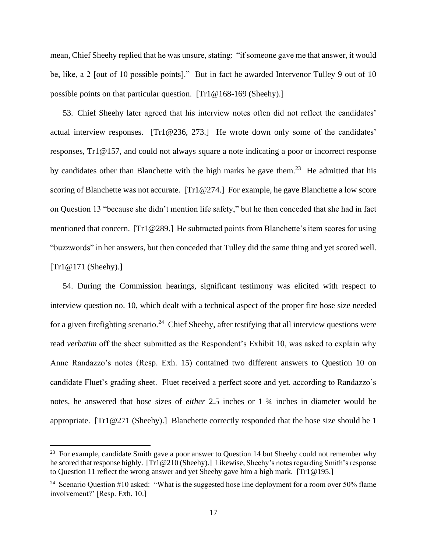mean, Chief Sheehy replied that he was unsure, stating: "if someone gave me that answer, it would be, like, a 2 [out of 10 possible points]." But in fact he awarded Intervenor Tulley 9 out of 10 possible points on that particular question. [Tr1@168-169 (Sheehy).]

53. Chief Sheehy later agreed that his interview notes often did not reflect the candidates' actual interview responses. [Tr1@236, 273.] He wrote down only some of the candidates' responses, Tr1@157, and could not always square a note indicating a poor or incorrect response by candidates other than Blanchette with the high marks he gave them.<sup>23</sup> He admitted that his scoring of Blanchette was not accurate. [Tr1@274.] For example, he gave Blanchette a low score on Question 13 "because she didn't mention life safety," but he then conceded that she had in fact mentioned that concern. [Tr1@289.] He subtracted points from Blanchette's item scores for using "buzzwords" in her answers, but then conceded that Tulley did the same thing and yet scored well. [Tr1@171 (Sheehy).]

54. During the Commission hearings, significant testimony was elicited with respect to interview question no. 10, which dealt with a technical aspect of the proper fire hose size needed for a given firefighting scenario.<sup>24</sup> Chief Sheehy, after testifying that all interview questions were read *verbatim* off the sheet submitted as the Respondent's Exhibit 10, was asked to explain why Anne Randazzo's notes (Resp. Exh. 15) contained two different answers to Question 10 on candidate Fluet's grading sheet. Fluet received a perfect score and yet, according to Randazzo's notes, he answered that hose sizes of *either* 2.5 inches or 1 ¾ inches in diameter would be appropriate. [Tr1@271 (Sheehy).] Blanchette correctly responded that the hose size should be 1

<sup>&</sup>lt;sup>23</sup> For example, candidate Smith gave a poor answer to Question 14 but Sheehy could not remember why he scored that response highly. [Tr1@210 (Sheehy).] Likewise, Sheehy's notes regarding Smith's response to Question 11 reflect the wrong answer and yet Sheehy gave him a high mark. [Tr1@195.]

<sup>&</sup>lt;sup>24</sup> Scenario Question #10 asked: "What is the suggested hose line deployment for a room over 50% flame involvement?' [Resp. Exh. 10.]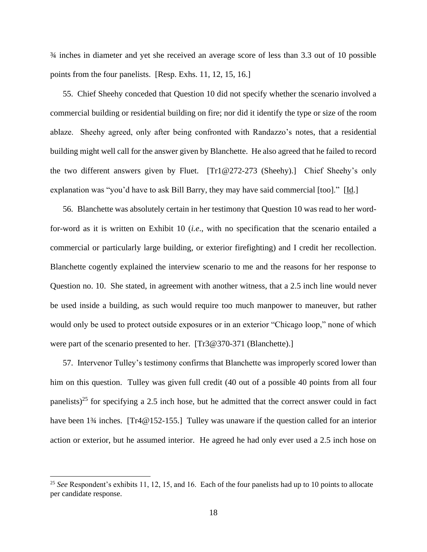¾ inches in diameter and yet she received an average score of less than 3.3 out of 10 possible points from the four panelists. [Resp. Exhs. 11, 12, 15, 16.]

55. Chief Sheehy conceded that Question 10 did not specify whether the scenario involved a commercial building or residential building on fire; nor did it identify the type or size of the room ablaze. Sheehy agreed, only after being confronted with Randazzo's notes, that a residential building might well call for the answer given by Blanchette. He also agreed that he failed to record the two different answers given by Fluet. [Tr1@272-273 (Sheehy).] Chief Sheehy's only explanation was "you'd have to ask Bill Barry, they may have said commercial [too]." [Id.]

56. Blanchette was absolutely certain in her testimony that Question 10 was read to her wordfor-word as it is written on Exhibit 10 (*i.e*., with no specification that the scenario entailed a commercial or particularly large building, or exterior firefighting) and I credit her recollection. Blanchette cogently explained the interview scenario to me and the reasons for her response to Question no. 10. She stated, in agreement with another witness, that a 2.5 inch line would never be used inside a building, as such would require too much manpower to maneuver, but rather would only be used to protect outside exposures or in an exterior "Chicago loop," none of which were part of the scenario presented to her. [Tr3@370-371 (Blanchette).]

57. Intervenor Tulley's testimony confirms that Blanchette was improperly scored lower than him on this question. Tulley was given full credit (40 out of a possible 40 points from all four panelists)<sup>25</sup> for specifying a 2.5 inch hose, but he admitted that the correct answer could in fact have been 1<sup>3</sup>/4 inches. [Tr4@152-155.] Tulley was unaware if the question called for an interior action or exterior, but he assumed interior. He agreed he had only ever used a 2.5 inch hose on

<sup>&</sup>lt;sup>25</sup> See Respondent's exhibits 11, 12, 15, and 16. Each of the four panelists had up to 10 points to allocate per candidate response.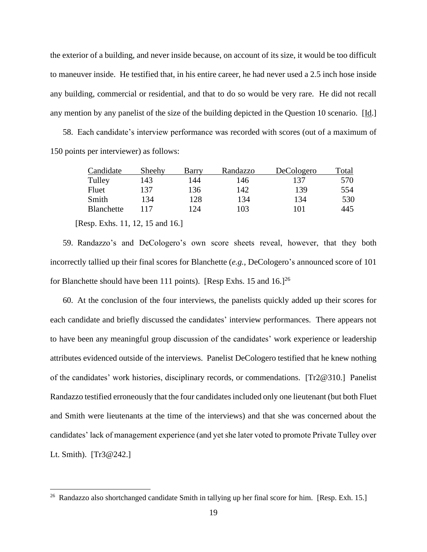the exterior of a building, and never inside because, on account of its size, it would be too difficult to maneuver inside. He testified that, in his entire career, he had never used a 2.5 inch hose inside any building, commercial or residential, and that to do so would be very rare. He did not recall any mention by any panelist of the size of the building depicted in the Question 10 scenario. [Id.]

58. Each candidate's interview performance was recorded with scores (out of a maximum of 150 points per interviewer) as follows:

| Candidate  | Sheehy | Barry | Randazzo | DeCologero | Total |
|------------|--------|-------|----------|------------|-------|
| Tulley     | 143    | 144   | 146      | 137        | 570   |
| Fluet      | 137    | 136   | 142      | 139        | 554   |
| Smith      | 134    | 128   | 134      | 134        | 530   |
| Blanchette | 117    | 124   | 103      | 101        | 445   |

[Resp. Exhs. 11, 12, 15 and 16.]

59. Randazzo's and DeCologero's own score sheets reveal, however, that they both incorrectly tallied up their final scores for Blanchette (*e.g.*, DeCologero's announced score of 101 for Blanchette should have been 111 points). [Resp Exhs. 15 and  $16$ ]<sup>26</sup>

60. At the conclusion of the four interviews, the panelists quickly added up their scores for each candidate and briefly discussed the candidates' interview performances. There appears not to have been any meaningful group discussion of the candidates' work experience or leadership attributes evidenced outside of the interviews. Panelist DeCologero testified that he knew nothing of the candidates' work histories, disciplinary records, or commendations. [Tr2@310.] Panelist Randazzo testified erroneously that the four candidates included only one lieutenant (but both Fluet and Smith were lieutenants at the time of the interviews) and that she was concerned about the candidates' lack of management experience (and yet she later voted to promote Private Tulley over Lt. Smith). [Tr3@242.]

<sup>&</sup>lt;sup>26</sup> Randazzo also shortchanged candidate Smith in tallying up her final score for him. [Resp. Exh. 15.]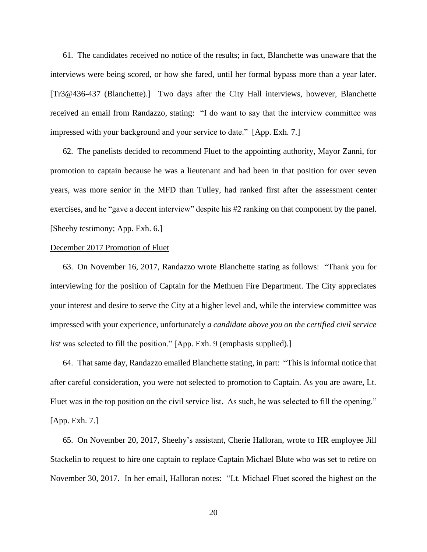61. The candidates received no notice of the results; in fact, Blanchette was unaware that the interviews were being scored, or how she fared, until her formal bypass more than a year later. [Tr3@436-437 (Blanchette).] Two days after the City Hall interviews, however, Blanchette received an email from Randazzo, stating: "I do want to say that the interview committee was impressed with your background and your service to date." [App. Exh. 7.]

62. The panelists decided to recommend Fluet to the appointing authority, Mayor Zanni, for promotion to captain because he was a lieutenant and had been in that position for over seven years, was more senior in the MFD than Tulley, had ranked first after the assessment center exercises, and he "gave a decent interview" despite his #2 ranking on that component by the panel. [Sheehy testimony; App. Exh. 6.]

### December 2017 Promotion of Fluet

63. On November 16, 2017, Randazzo wrote Blanchette stating as follows: "Thank you for interviewing for the position of Captain for the Methuen Fire Department. The City appreciates your interest and desire to serve the City at a higher level and, while the interview committee was impressed with your experience, unfortunately *a candidate above you on the certified civil service list* was selected to fill the position." [App. Exh. 9 (emphasis supplied).]

64. That same day, Randazzo emailed Blanchette stating, in part: "This is informal notice that after careful consideration, you were not selected to promotion to Captain. As you are aware, Lt. Fluet was in the top position on the civil service list. As such, he was selected to fill the opening." [App. Exh. 7.]

65. On November 20, 2017, Sheehy's assistant, Cherie Halloran, wrote to HR employee Jill Stackelin to request to hire one captain to replace Captain Michael Blute who was set to retire on November 30, 2017. In her email, Halloran notes: "Lt. Michael Fluet scored the highest on the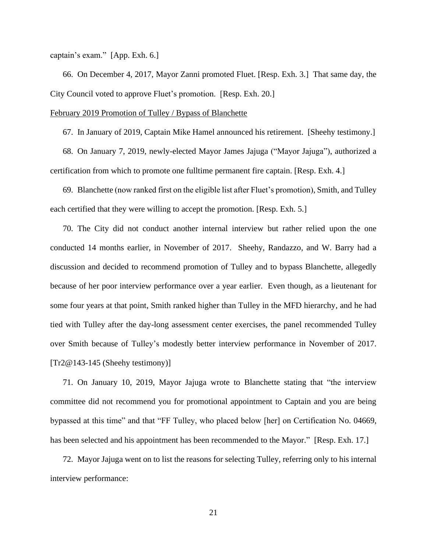captain's exam." [App. Exh. 6.]

66. On December 4, 2017, Mayor Zanni promoted Fluet. [Resp. Exh. 3.] That same day, the City Council voted to approve Fluet's promotion. [Resp. Exh. 20.]

## February 2019 Promotion of Tulley / Bypass of Blanchette

67. In January of 2019, Captain Mike Hamel announced his retirement. [Sheehy testimony.]

68. On January 7, 2019, newly-elected Mayor James Jajuga ("Mayor Jajuga"), authorized a certification from which to promote one fulltime permanent fire captain. [Resp. Exh. 4.]

69. Blanchette (now ranked first on the eligible list after Fluet's promotion), Smith, and Tulley each certified that they were willing to accept the promotion. [Resp. Exh. 5.]

70. The City did not conduct another internal interview but rather relied upon the one conducted 14 months earlier, in November of 2017. Sheehy, Randazzo, and W. Barry had a discussion and decided to recommend promotion of Tulley and to bypass Blanchette, allegedly because of her poor interview performance over a year earlier. Even though, as a lieutenant for some four years at that point, Smith ranked higher than Tulley in the MFD hierarchy, and he had tied with Tulley after the day-long assessment center exercises, the panel recommended Tulley over Smith because of Tulley's modestly better interview performance in November of 2017. [Tr2@143-145 (Sheehy testimony)]

71. On January 10, 2019, Mayor Jajuga wrote to Blanchette stating that "the interview committee did not recommend you for promotional appointment to Captain and you are being bypassed at this time" and that "FF Tulley, who placed below [her] on Certification No. 04669, has been selected and his appointment has been recommended to the Mayor." [Resp. Exh. 17.]

72. Mayor Jajuga went on to list the reasons for selecting Tulley, referring only to his internal interview performance: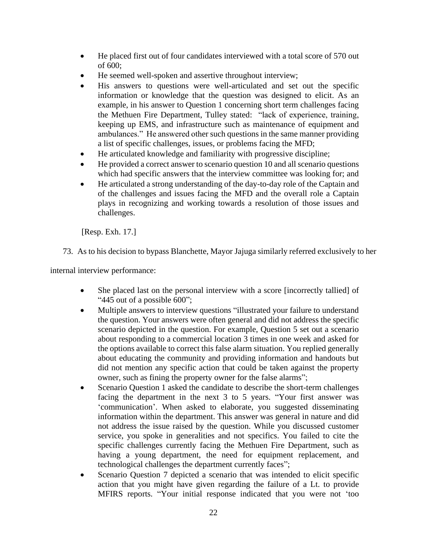- He placed first out of four candidates interviewed with a total score of 570 out of 600;
- He seemed well-spoken and assertive throughout interview;
- His answers to questions were well-articulated and set out the specific information or knowledge that the question was designed to elicit. As an example, in his answer to Question 1 concerning short term challenges facing the Methuen Fire Department, Tulley stated: "lack of experience, training, keeping up EMS, and infrastructure such as maintenance of equipment and ambulances." He answered other such questions in the same manner providing a list of specific challenges, issues, or problems facing the MFD;
- He articulated knowledge and familiarity with progressive discipline;
- He provided a correct answer to scenario question 10 and all scenario questions which had specific answers that the interview committee was looking for; and
- He articulated a strong understanding of the day-to-day role of the Captain and of the challenges and issues facing the MFD and the overall role a Captain plays in recognizing and working towards a resolution of those issues and challenges.

[Resp. Exh. 17.]

73. As to his decision to bypass Blanchette, Mayor Jajuga similarly referred exclusively to her

internal interview performance:

- She placed last on the personal interview with a score [incorrectly tallied] of "445 out of a possible 600";
- Multiple answers to interview questions "illustrated your failure to understand the question. Your answers were often general and did not address the specific scenario depicted in the question. For example, Question 5 set out a scenario about responding to a commercial location 3 times in one week and asked for the options available to correct this false alarm situation. You replied generally about educating the community and providing information and handouts but did not mention any specific action that could be taken against the property owner, such as fining the property owner for the false alarms";
- Scenario Question 1 asked the candidate to describe the short-term challenges facing the department in the next 3 to 5 years. "Your first answer was 'communication'. When asked to elaborate, you suggested disseminating information within the department. This answer was general in nature and did not address the issue raised by the question. While you discussed customer service, you spoke in generalities and not specifics. You failed to cite the specific challenges currently facing the Methuen Fire Department, such as having a young department, the need for equipment replacement, and technological challenges the department currently faces";
- Scenario Question 7 depicted a scenario that was intended to elicit specific action that you might have given regarding the failure of a Lt. to provide MFIRS reports. "Your initial response indicated that you were not 'too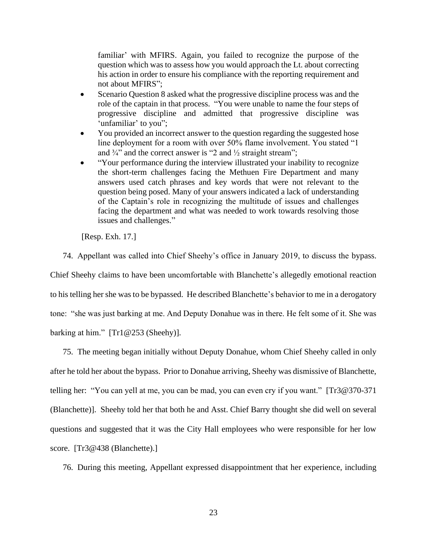familiar' with MFIRS. Again, you failed to recognize the purpose of the question which was to assess how you would approach the Lt. about correcting his action in order to ensure his compliance with the reporting requirement and not about MFIRS";

- Scenario Question 8 asked what the progressive discipline process was and the role of the captain in that process. "You were unable to name the four steps of progressive discipline and admitted that progressive discipline was 'unfamiliar' to you";
- You provided an incorrect answer to the question regarding the suggested hose line deployment for a room with over 50% flame involvement. You stated "1 and  $\frac{3}{4}$ " and the correct answer is "2 and  $\frac{1}{2}$  straight stream";
- "Your performance during the interview illustrated your inability to recognize the short-term challenges facing the Methuen Fire Department and many answers used catch phrases and key words that were not relevant to the question being posed. Many of your answers indicated a lack of understanding of the Captain's role in recognizing the multitude of issues and challenges facing the department and what was needed to work towards resolving those issues and challenges."

[Resp. Exh. 17.]

74. Appellant was called into Chief Sheehy's office in January 2019, to discuss the bypass. Chief Sheehy claims to have been uncomfortable with Blanchette's allegedly emotional reaction to his telling her she was to be bypassed. He described Blanchette's behavior to me in a derogatory tone: "she was just barking at me. And Deputy Donahue was in there. He felt some of it. She was barking at him." [Tr1@253 (Sheehy)].

75. The meeting began initially without Deputy Donahue, whom Chief Sheehy called in only after he told her about the bypass. Prior to Donahue arriving, Sheehy was dismissive of Blanchette, telling her: "You can yell at me, you can be mad, you can even cry if you want." [Tr3@370-371 (Blanchette)]. Sheehy told her that both he and Asst. Chief Barry thought she did well on several questions and suggested that it was the City Hall employees who were responsible for her low score. [Tr3@438 (Blanchette).]

76. During this meeting, Appellant expressed disappointment that her experience, including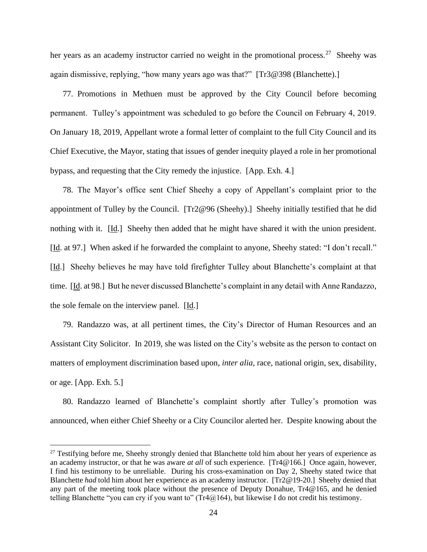her years as an academy instructor carried no weight in the promotional process.<sup>27</sup> Sheehy was again dismissive, replying, "how many years ago was that?" [Tr3@398 (Blanchette).]

77. Promotions in Methuen must be approved by the City Council before becoming permanent. Tulley's appointment was scheduled to go before the Council on February 4, 2019. On January 18, 2019, Appellant wrote a formal letter of complaint to the full City Council and its Chief Executive, the Mayor, stating that issues of gender inequity played a role in her promotional bypass, and requesting that the City remedy the injustice. [App. Exh. 4.]

78. The Mayor's office sent Chief Sheehy a copy of Appellant's complaint prior to the appointment of Tulley by the Council. [Tr2@96 (Sheehy).] Sheehy initially testified that he did nothing with it. [Id.] Sheehy then added that he might have shared it with the union president. [Id. at 97.] When asked if he forwarded the complaint to anyone, Sheehy stated: "I don't recall." [Id.] Sheehy believes he may have told firefighter Tulley about Blanchette's complaint at that time. [Id. at 98.] But he never discussed Blanchette's complaint in any detail with Anne Randazzo, the sole female on the interview panel. [Id.]

79. Randazzo was, at all pertinent times, the City's Director of Human Resources and an Assistant City Solicitor. In 2019, she was listed on the City's website as the person to contact on matters of employment discrimination based upon, *inter alia*, race, national origin, sex, disability, or age. [App. Exh. 5.]

80. Randazzo learned of Blanchette's complaint shortly after Tulley's promotion was announced, when either Chief Sheehy or a City Councilor alerted her. Despite knowing about the

<sup>&</sup>lt;sup>27</sup> Testifying before me, Sheehy strongly denied that Blanchette told him about her years of experience as an academy instructor, or that he was aware *at all* of such experience. [Tr4@166.] Once again, however, I find his testimony to be unreliable. During his cross-examination on Day 2, Sheehy stated twice that Blanchette *had* told him about her experience as an academy instructor. [Tr2@19-20.] Sheehy denied that any part of the meeting took place without the presence of Deputy Donahue, Tr4@165, and he denied telling Blanchette "you can cry if you want to" (Tr4@164), but likewise I do not credit his testimony.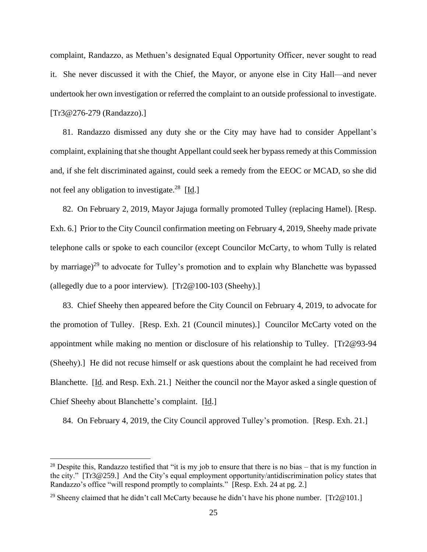complaint, Randazzo, as Methuen's designated Equal Opportunity Officer, never sought to read it. She never discussed it with the Chief, the Mayor, or anyone else in City Hall—and never undertook her own investigation or referred the complaint to an outside professional to investigate. [Tr3@276-279 (Randazzo).]

81. Randazzo dismissed any duty she or the City may have had to consider Appellant's complaint, explaining that she thought Appellant could seek her bypassremedy at this Commission and, if she felt discriminated against, could seek a remedy from the EEOC or MCAD, so she did not feel any obligation to investigate.<sup>28</sup> [Id.]

82. On February 2, 2019, Mayor Jajuga formally promoted Tulley (replacing Hamel). [Resp. Exh. 6.] Prior to the City Council confirmation meeting on February 4, 2019, Sheehy made private telephone calls or spoke to each councilor (except Councilor McCarty, to whom Tully is related by marriage)<sup>29</sup> to advocate for Tulley's promotion and to explain why Blanchette was bypassed (allegedly due to a poor interview). [Tr2@100-103 (Sheehy).]

83. Chief Sheehy then appeared before the City Council on February 4, 2019, to advocate for the promotion of Tulley. [Resp. Exh. 21 (Council minutes).] Councilor McCarty voted on the appointment while making no mention or disclosure of his relationship to Tulley. [Tr2@93-94 (Sheehy).] He did not recuse himself or ask questions about the complaint he had received from Blanchette. [Id. and Resp. Exh. 21.] Neither the council nor the Mayor asked a single question of Chief Sheehy about Blanchette's complaint. [Id.]

84. On February 4, 2019, the City Council approved Tulley's promotion. [Resp. Exh. 21.]

<sup>&</sup>lt;sup>28</sup> Despite this, Randazzo testified that "it is my job to ensure that there is no bias – that is my function in the city." [Tr3@259.] And the City's equal employment opportunity/antidiscrimination policy states that Randazzo's office "will respond promptly to complaints." [Resp. Exh. 24 at pg. 2.]

<sup>&</sup>lt;sup>29</sup> Sheeny claimed that he didn't call McCarty because he didn't have his phone number. [Tr2@101.]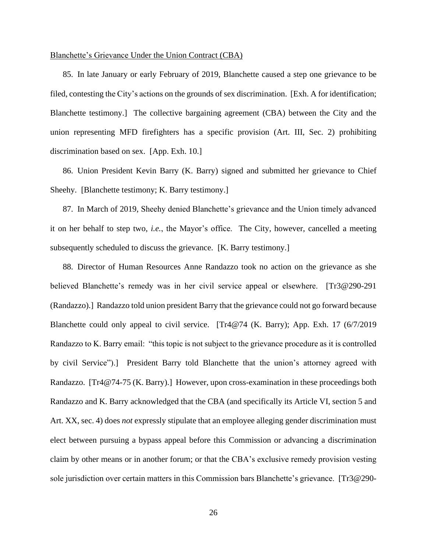### Blanchette's Grievance Under the Union Contract (CBA)

85. In late January or early February of 2019, Blanchette caused a step one grievance to be filed, contesting the City's actions on the grounds of sex discrimination. [Exh. A for identification; Blanchette testimony.] The collective bargaining agreement (CBA) between the City and the union representing MFD firefighters has a specific provision (Art. III, Sec. 2) prohibiting discrimination based on sex. [App. Exh. 10.]

86. Union President Kevin Barry (K. Barry) signed and submitted her grievance to Chief Sheehy. [Blanchette testimony; K. Barry testimony.]

87. In March of 2019, Sheehy denied Blanchette's grievance and the Union timely advanced it on her behalf to step two, *i.e.*, the Mayor's office. The City, however, cancelled a meeting subsequently scheduled to discuss the grievance. [K. Barry testimony.]

88. Director of Human Resources Anne Randazzo took no action on the grievance as she believed Blanchette's remedy was in her civil service appeal or elsewhere. [Tr3@290-291 (Randazzo).] Randazzo told union president Barry that the grievance could not go forward because Blanchette could only appeal to civil service. [Tr4@74 (K. Barry); App. Exh. 17 (6/7/2019 Randazzo to K. Barry email: "this topic is not subject to the grievance procedure as it is controlled by civil Service").] President Barry told Blanchette that the union's attorney agreed with Randazzo. [Tr4@74-75 (K. Barry).] However, upon cross-examination in these proceedings both Randazzo and K. Barry acknowledged that the CBA (and specifically its Article VI, section 5 and Art. XX, sec. 4) does *not* expressly stipulate that an employee alleging gender discrimination must elect between pursuing a bypass appeal before this Commission or advancing a discrimination claim by other means or in another forum; or that the CBA's exclusive remedy provision vesting sole jurisdiction over certain matters in this Commission bars Blanchette's grievance. [Tr3@290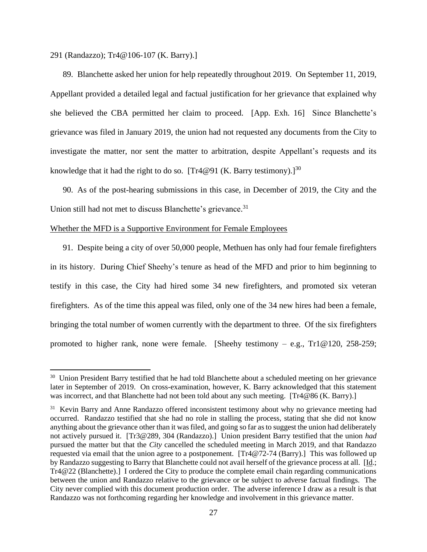291 (Randazzo); Tr4@106-107 (K. Barry).]

89. Blanchette asked her union for help repeatedly throughout 2019. On September 11, 2019, Appellant provided a detailed legal and factual justification for her grievance that explained why she believed the CBA permitted her claim to proceed. [App. Exh. 16] Since Blanchette's grievance was filed in January 2019, the union had not requested any documents from the City to investigate the matter, nor sent the matter to arbitration, despite Appellant's requests and its knowledge that it had the right to do so. [Tr4@91 (K. Barry testimony).]<sup>30</sup>

90. As of the post-hearing submissions in this case, in December of 2019, the City and the Union still had not met to discuss Blanchette's grievance.<sup>31</sup>

## Whether the MFD is a Supportive Environment for Female Employees

91. Despite being a city of over 50,000 people, Methuen has only had four female firefighters in its history. During Chief Sheehy's tenure as head of the MFD and prior to him beginning to testify in this case, the City had hired some 34 new firefighters, and promoted six veteran firefighters. As of the time this appeal was filed, only one of the 34 new hires had been a female, bringing the total number of women currently with the department to three. Of the six firefighters promoted to higher rank, none were female. [Sheehy testimony – e.g.,  $Tr1@120$ ,  $258-259$ ;

<sup>&</sup>lt;sup>30</sup> Union President Barry testified that he had told Blanchette about a scheduled meeting on her grievance later in September of 2019. On cross-examination, however, K. Barry acknowledged that this statement was incorrect, and that Blanchette had not been told about any such meeting. [Tr4@86 (K. Barry).]

<sup>&</sup>lt;sup>31</sup> Kevin Barry and Anne Randazzo offered inconsistent testimony about why no grievance meeting had occurred. Randazzo testified that she had no role in stalling the process, stating that she did not know anything about the grievance other than it was filed, and going so far as to suggest the union had deliberately not actively pursued it. [Tr3@289, 304 (Randazzo).] Union president Barry testified that the union *had* pursued the matter but that the *City* cancelled the scheduled meeting in March 2019, and that Randazzo requested via email that the union agree to a postponement. [Tr4@72-74 (Barry).] This was followed up by Randazzo suggesting to Barry that Blanchette could not avail herself of the grievance process at all. [Id.; Tr4@22 (Blanchette).] I ordered the City to produce the complete email chain regarding communications between the union and Randazzo relative to the grievance or be subject to adverse factual findings. The City never complied with this document production order. The adverse inference I draw as a result is that Randazzo was not forthcoming regarding her knowledge and involvement in this grievance matter.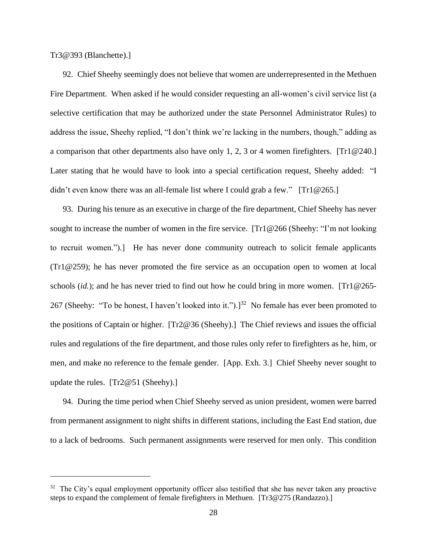Tr3@393 (Blanchette).]

92. Chief Sheehy seemingly does not believe that women are underrepresented in the Methuen Fire Department. When asked if he would consider requesting an all-women's civil service list (a selective certification that may be authorized under the state Personnel Administrator Rules) to address the issue, Sheehy replied, "I don't think we're lacking in the numbers, though," adding as a comparison that other departments also have only 1, 2, 3 or 4 women firefighters. [Tr1@240.] Later stating that he would have to look into a special certification request, Sheehy added: "I didn't even know there was an all-female list where I could grab a few." [Tr1@265.]

93. During his tenure as an executive in charge of the fire department, Chief Sheehy has never sought to increase the number of women in the fire service. [Tr1@266 (Sheehy: "I'm not looking to recruit women.").] He has never done community outreach to solicit female applicants (Tr1@259); he has never promoted the fire service as an occupation open to women at local schools (*id.*); and he has never tried to find out how he could bring in more women. [Tr1@265- 267 (Sheehy: "To be honest, I haven't looked into it.").]<sup>32</sup> No female has ever been promoted to the positions of Captain or higher. [Tr2@36 (Sheehy).] The Chief reviews and issues the official rules and regulations of the fire department, and those rules only refer to firefighters as he, him, or men, and make no reference to the female gender. [App. Exh. 3.] Chief Sheehy never sought to update the rules. [Tr2@51 (Sheehy).]

94. During the time period when Chief Sheehy served as union president, women were barred from permanent assignment to night shifts in different stations, including the East End station, due to a lack of bedrooms. Such permanent assignments were reserved for men only. This condition

<sup>&</sup>lt;sup>32</sup> The City's equal employment opportunity officer also testified that she has never taken any proactive steps to expand the complement of female firefighters in Methuen. [Tr3@275 (Randazzo).]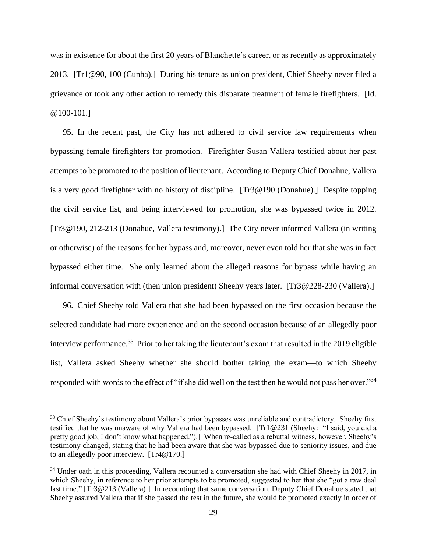was in existence for about the first 20 years of Blanchette's career, or as recently as approximately 2013. [Tr1@90, 100 (Cunha).] During his tenure as union president, Chief Sheehy never filed a grievance or took any other action to remedy this disparate treatment of female firefighters. [Id. @100-101.]

95. In the recent past, the City has not adhered to civil service law requirements when bypassing female firefighters for promotion. Firefighter Susan Vallera testified about her past attempts to be promoted to the position of lieutenant. According to Deputy Chief Donahue, Vallera is a very good firefighter with no history of discipline. [Tr3@190 (Donahue).] Despite topping the civil service list, and being interviewed for promotion, she was bypassed twice in 2012. [Tr3@190, 212-213 (Donahue, Vallera testimony).] The City never informed Vallera (in writing or otherwise) of the reasons for her bypass and, moreover, never even told her that she was in fact bypassed either time. She only learned about the alleged reasons for bypass while having an informal conversation with (then union president) Sheehy years later. [Tr3@228-230 (Vallera).]

96. Chief Sheehy told Vallera that she had been bypassed on the first occasion because the selected candidate had more experience and on the second occasion because of an allegedly poor interview performance.<sup>33</sup> Prior to her taking the lieutenant's exam that resulted in the 2019 eligible list, Vallera asked Sheehy whether she should bother taking the exam—to which Sheehy responded with words to the effect of "if she did well on the test then he would not pass her over."<sup>34</sup>

<sup>&</sup>lt;sup>33</sup> Chief Sheehy's testimony about Vallera's prior bypasses was unreliable and contradictory. Sheehy first testified that he was unaware of why Vallera had been bypassed. [Tr1@231 (Sheehy: "I said, you did a pretty good job, I don't know what happened.").] When re-called as a rebuttal witness, however, Sheehy's testimony changed, stating that he had been aware that she was bypassed due to seniority issues, and due to an allegedly poor interview. [Tr4@170.]

<sup>&</sup>lt;sup>34</sup> Under oath in this proceeding, Vallera recounted a conversation she had with Chief Sheehy in 2017, in which Sheehy, in reference to her prior attempts to be promoted, suggested to her that she "got a raw deal" last time." [Tr3@213 (Vallera).] In recounting that same conversation, Deputy Chief Donahue stated that Sheehy assured Vallera that if she passed the test in the future, she would be promoted exactly in order of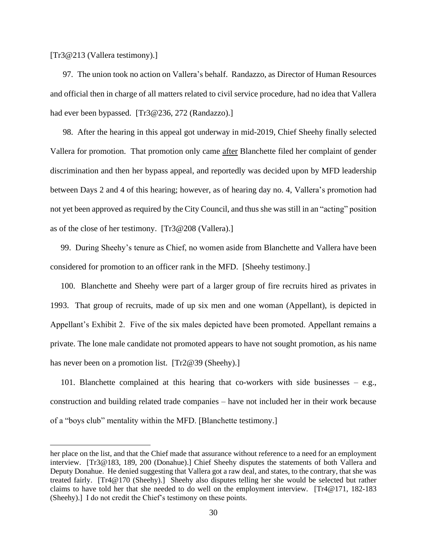[Tr3@213 (Vallera testimony).]

97. The union took no action on Vallera's behalf. Randazzo, as Director of Human Resources and official then in charge of all matters related to civil service procedure, had no idea that Vallera had ever been bypassed. [Tr3@236, 272 (Randazzo).]

98. After the hearing in this appeal got underway in mid-2019, Chief Sheehy finally selected Vallera for promotion. That promotion only came after Blanchette filed her complaint of gender discrimination and then her bypass appeal, and reportedly was decided upon by MFD leadership between Days 2 and 4 of this hearing; however, as of hearing day no. 4, Vallera's promotion had not yet been approved as required by the City Council, and thus she was still in an "acting" position as of the close of her testimony. [Tr3@208 (Vallera).]

 99. During Sheehy's tenure as Chief, no women aside from Blanchette and Vallera have been considered for promotion to an officer rank in the MFD. [Sheehy testimony.]

 100. Blanchette and Sheehy were part of a larger group of fire recruits hired as privates in 1993. That group of recruits, made of up six men and one woman (Appellant), is depicted in Appellant's Exhibit 2. Five of the six males depicted have been promoted. Appellant remains a private. The lone male candidate not promoted appears to have not sought promotion, as his name has never been on a promotion list. [Tr2@39 (Sheehy).]

 101. Blanchette complained at this hearing that co-workers with side businesses – e.g., construction and building related trade companies – have not included her in their work because of a "boys club" mentality within the MFD. [Blanchette testimony.]

her place on the list, and that the Chief made that assurance without reference to a need for an employment interview. [Tr3@183, 189, 200 (Donahue).] Chief Sheehy disputes the statements of both Vallera and Deputy Donahue. He denied suggesting that Vallera got a raw deal, and states, to the contrary, that she was treated fairly. [Tr4@170 (Sheehy).] Sheehy also disputes telling her she would be selected but rather claims to have told her that she needed to do well on the employment interview. [Tr4@171, 182-183 (Sheehy).] I do not credit the Chief's testimony on these points.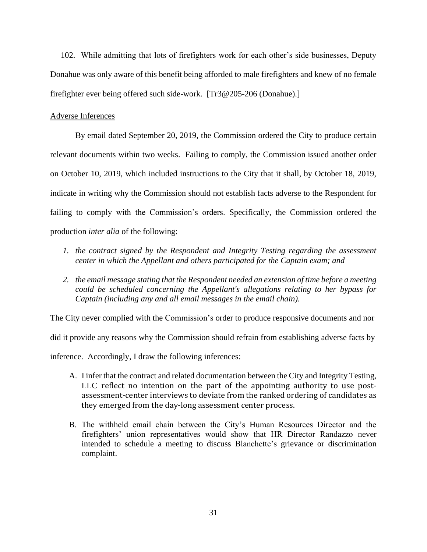102. While admitting that lots of firefighters work for each other's side businesses, Deputy Donahue was only aware of this benefit being afforded to male firefighters and knew of no female firefighter ever being offered such side-work. [Tr3@205-206 (Donahue).]

## Adverse Inferences

By email dated September 20, 2019, the Commission ordered the City to produce certain relevant documents within two weeks. Failing to comply, the Commission issued another order on October 10, 2019, which included instructions to the City that it shall, by October 18, 2019, indicate in writing why the Commission should not establish facts adverse to the Respondent for failing to comply with the Commission's orders. Specifically, the Commission ordered the production *inter alia* of the following:

- *1. the contract signed by the Respondent and Integrity Testing regarding the assessment center in which the Appellant and others participated for the Captain exam; and*
- *2. the email message stating that the Respondent needed an extension of time before a meeting could be scheduled concerning the Appellant's allegations relating to her bypass for Captain (including any and all email messages in the email chain).*

The City never complied with the Commission's order to produce responsive documents and nor

did it provide any reasons why the Commission should refrain from establishing adverse facts by

inference. Accordingly, I draw the following inferences:

- A. I infer that the contract and related documentation between the City and Integrity Testing, LLC reflect no intention on the part of the appointing authority to use postassessment-center interviews to deviate from the ranked ordering of candidates as they emerged from the day-long assessment center process.
- B. The withheld email chain between the City's Human Resources Director and the firefighters' union representatives would show that HR Director Randazzo never intended to schedule a meeting to discuss Blanchette's grievance or discrimination complaint.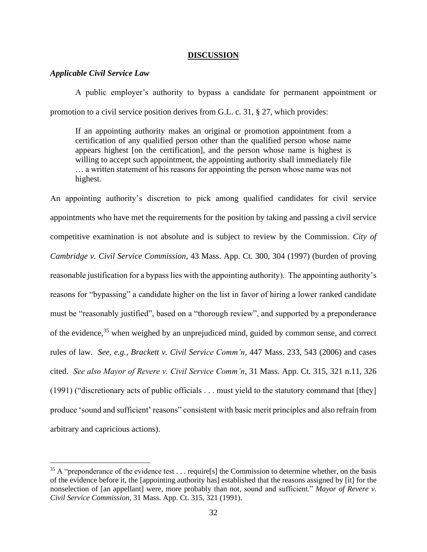### **DISCUSSION**

## *Applicable Civil Service Law*

A public employer's authority to bypass a candidate for permanent appointment or promotion to a civil service position derives from G.L. c. 31, § 27, which provides:

If an appointing authority makes an original or promotion appointment from a certification of any qualified person other than the qualified person whose name appears highest [on the certification], and the person whose name is highest is willing to accept such appointment, the appointing authority shall immediately file … a written statement of his reasons for appointing the person whose name was not highest.

An appointing authority's discretion to pick among qualified candidates for civil service appointments who have met the requirements for the position by taking and passing a civil service competitive examination is not absolute and is subject to review by the Commission. *City of Cambridge v. Civil Service Commission*, 43 Mass. App. Ct. 300, 304 (1997) (burden of proving reasonable justification for a bypass lies with the appointing authority). The appointing authority's reasons for "bypassing" a candidate higher on the list in favor of hiring a lower ranked candidate must be "reasonably justified", based on a "thorough review", and supported by a preponderance of the evidence,<sup>35</sup> when weighed by an unprejudiced mind, guided by common sense, and correct rules of law. *See*, *e.g.*, *Brackett v. Civil Service Comm'n*, 447 Mass. 233, 543 (2006) and cases cited. *See also Mayor of Revere v. Civil Service Comm'n*, 31 Mass. App. Ct. 315, 321 n.11, 326 (1991) ("discretionary acts of public officials . . . must yield to the statutory command that [they] produce 'sound and sufficient' reasons" consistent with basic merit principles and also refrain from arbitrary and capricious actions).

<sup>&</sup>lt;sup>35</sup> A "preponderance of the evidence test . . . require[s] the Commission to determine whether, on the basis of the evidence before it, the [appointing authority has] established that the reasons assigned by [it] for the nonselection of [an appellant] were, more probably than not, sound and sufficient." *Mayor of Revere v. Civil Service Commission*, 31 Mass. App. Ct. 315, 321 (1991).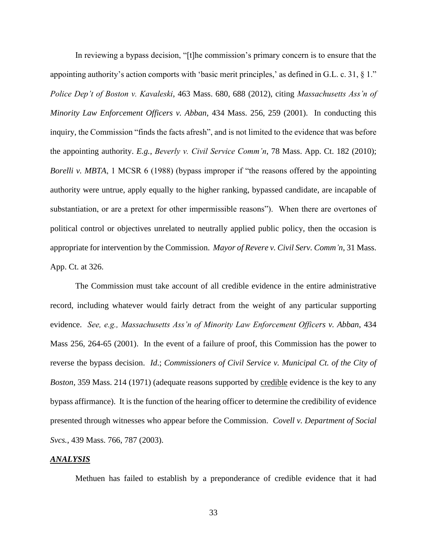In reviewing a bypass decision, "[t]he commission's primary concern is to ensure that the appointing authority's action comports with 'basic merit principles,' as defined in G.L. c. 31,  $\S$ 1." *Police Dep't of Boston v. Kavaleski*, 463 Mass. 680, 688 (2012), citing *Massachusetts Ass'n of Minority Law Enforcement Officers v. Abban*, 434 Mass. 256, 259 (2001). In conducting this inquiry, the Commission "finds the facts afresh", and is not limited to the evidence that was before the appointing authority. *E.g.*, *Beverly v. Civil Service Comm'n*, 78 Mass. App. Ct. 182 (2010); *Borelli v. MBTA*, 1 MCSR 6 (1988) (bypass improper if "the reasons offered by the appointing authority were untrue, apply equally to the higher ranking, bypassed candidate, are incapable of substantiation, or are a pretext for other impermissible reasons"). When there are overtones of political control or objectives unrelated to neutrally applied public policy, then the occasion is appropriate for intervention by the Commission. *Mayor of Revere v. Civil Serv. Comm'n*, 31 Mass. App. Ct. at 326.

The Commission must take account of all credible evidence in the entire administrative record, including whatever would fairly detract from the weight of any particular supporting evidence. *See, e.g., Massachusetts Ass'n of Minority Law Enforcement Officers v. Abban*, 434 Mass 256, 264-65 (2001). In the event of a failure of proof, this Commission has the power to reverse the bypass decision. *Id*.; *Commissioners of Civil Service v. Municipal Ct. of the City of Boston,* 359 Mass. 214 (1971) (adequate reasons supported by credible evidence is the key to any bypass affirmance). It is the function of the hearing officer to determine the credibility of evidence presented through witnesses who appear before the Commission. *Covell v. Department of Social Svcs.*, 439 Mass. 766, 787 (2003).

### *ANALYSIS*

Methuen has failed to establish by a preponderance of credible evidence that it had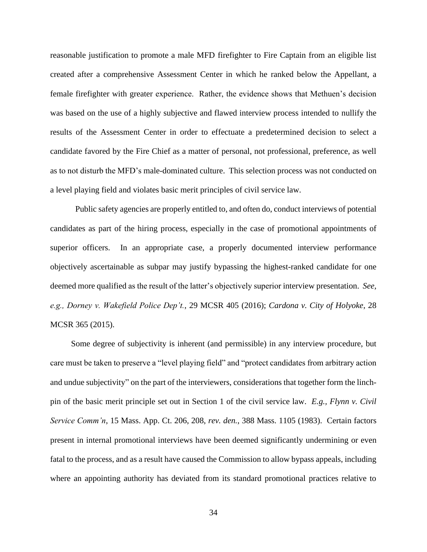reasonable justification to promote a male MFD firefighter to Fire Captain from an eligible list created after a comprehensive Assessment Center in which he ranked below the Appellant, a female firefighter with greater experience. Rather, the evidence shows that Methuen's decision was based on the use of a highly subjective and flawed interview process intended to nullify the results of the Assessment Center in order to effectuate a predetermined decision to select a candidate favored by the Fire Chief as a matter of personal, not professional, preference, as well as to not disturb the MFD's male-dominated culture. This selection process was not conducted on a level playing field and violates basic merit principles of civil service law.

Public safety agencies are properly entitled to, and often do, conduct interviews of potential candidates as part of the hiring process, especially in the case of promotional appointments of superior officers. In an appropriate case, a properly documented interview performance objectively ascertainable as subpar may justify bypassing the highest-ranked candidate for one deemed more qualified as the result of the latter's objectively superior interview presentation. *See, e.g., Dorney v. Wakefield Police Dep't.*, 29 MCSR 405 (2016); *Cardona v. City of Holyoke*, 28 MCSR 365 (2015).

 Some degree of subjectivity is inherent (and permissible) in any interview procedure, but care must be taken to preserve a "level playing field" and "protect candidates from arbitrary action and undue subjectivity" on the part of the interviewers, considerations that together form the linchpin of the basic merit principle set out in Section 1 of the civil service law. *E.g., Flynn v. Civil Service Comm'n*, 15 Mass. App. Ct. 206, 208, *rev. den.*, 388 Mass. 1105 (1983). Certain factors present in internal promotional interviews have been deemed significantly undermining or even fatal to the process, and as a result have caused the Commission to allow bypass appeals, including where an appointing authority has deviated from its standard promotional practices relative to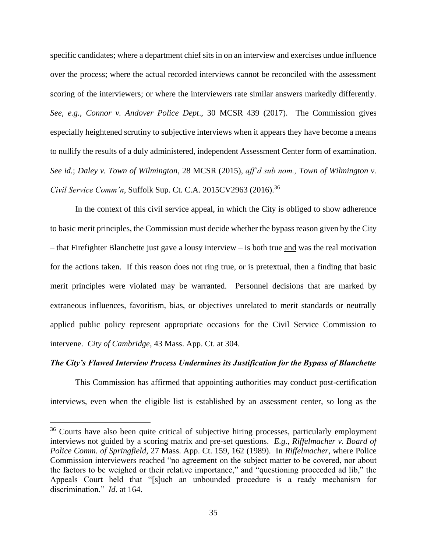specific candidates; where a department chief sits in on an interview and exercises undue influence over the process; where the actual recorded interviews cannot be reconciled with the assessment scoring of the interviewers; or where the interviewers rate similar answers markedly differently. *See, e.g., Connor v. Andover Police Dept*., 30 MCSR 439 (2017). The Commission gives especially heightened scrutiny to subjective interviews when it appears they have become a means to nullify the results of a duly administered, independent Assessment Center form of examination. *See id.*; *Daley v. Town of Wilmington*, 28 MCSR (2015), *aff'd sub nom., Town of Wilmington v. Civil Service Comm'n*, Suffolk Sup. Ct. C.A. 2015CV2963 (2016). 36

In the context of this civil service appeal, in which the City is obliged to show adherence to basic merit principles, the Commission must decide whether the bypass reason given by the City – that Firefighter Blanchette just gave a lousy interview – is both true and was the real motivation for the actions taken. If this reason does not ring true, or is pretextual, then a finding that basic merit principles were violated may be warranted. Personnel decisions that are marked by extraneous influences, favoritism, bias, or objectives unrelated to merit standards or neutrally applied public policy represent appropriate occasions for the Civil Service Commission to intervene. *City of Cambridge*, 43 Mass. App. Ct. at 304.

## *The City's Flawed Interview Process Undermines its Justification for the Bypass of Blanchette*

This Commission has affirmed that appointing authorities may conduct post-certification interviews, even when the eligible list is established by an assessment center, so long as the

<sup>&</sup>lt;sup>36</sup> Courts have also been quite critical of subjective hiring processes, particularly employment interviews not guided by a scoring matrix and pre-set questions. *E.g.*, *Riffelmacher v. Board of Police Comm. of Springfield*, 27 Mass. App. Ct. 159, 162 (1989). In *Riffelmacher*, where Police Commission interviewers reached "no agreement on the subject matter to be covered, nor about the factors to be weighed or their relative importance," and "questioning proceeded ad lib," the Appeals Court held that "[s]uch an unbounded procedure is a ready mechanism for discrimination." *Id*. at 164.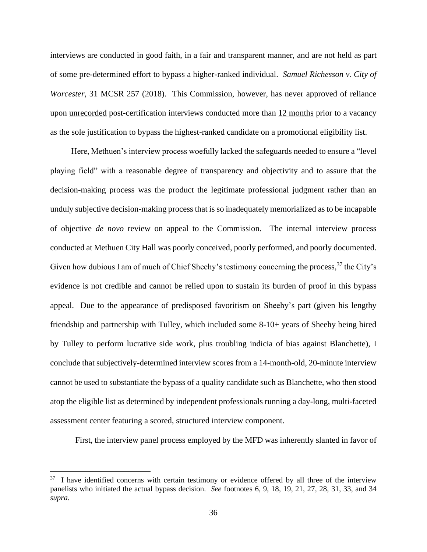interviews are conducted in good faith, in a fair and transparent manner, and are not held as part of some pre-determined effort to bypass a higher-ranked individual. *Samuel Richesson v. City of Worcester*, 31 MCSR 257 (2018). This Commission, however, has never approved of reliance upon unrecorded post-certification interviews conducted more than 12 months prior to a vacancy as the sole justification to bypass the highest-ranked candidate on a promotional eligibility list.

 Here, Methuen's interview process woefully lacked the safeguards needed to ensure a "level playing field" with a reasonable degree of transparency and objectivity and to assure that the decision-making process was the product the legitimate professional judgment rather than an unduly subjective decision-making process that is so inadequately memorialized as to be incapable of objective *de novo* review on appeal to the Commission. The internal interview process conducted at Methuen City Hall was poorly conceived, poorly performed, and poorly documented. Given how dubious I am of much of Chief Sheehy's testimony concerning the process,<sup>37</sup> the City's evidence is not credible and cannot be relied upon to sustain its burden of proof in this bypass appeal. Due to the appearance of predisposed favoritism on Sheehy's part (given his lengthy friendship and partnership with Tulley, which included some 8-10+ years of Sheehy being hired by Tulley to perform lucrative side work, plus troubling indicia of bias against Blanchette), I conclude that subjectively-determined interview scores from a 14-month-old, 20-minute interview cannot be used to substantiate the bypass of a quality candidate such as Blanchette, who then stood atop the eligible list as determined by independent professionals running a day-long, multi-faceted assessment center featuring a scored, structured interview component.

First, the interview panel process employed by the MFD was inherently slanted in favor of

<sup>&</sup>lt;sup>37</sup> I have identified concerns with certain testimony or evidence offered by all three of the interview panelists who initiated the actual bypass decision. *See* footnotes 6, 9, 18, 19, 21, 27, 28, 31, 33, and 34 *supra*.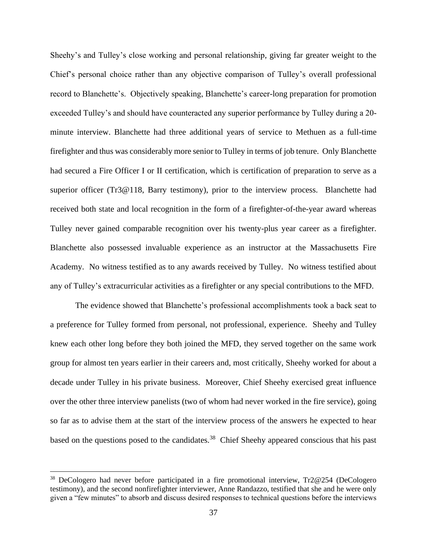Sheehy's and Tulley's close working and personal relationship, giving far greater weight to the Chief's personal choice rather than any objective comparison of Tulley's overall professional record to Blanchette's. Objectively speaking, Blanchette's career-long preparation for promotion exceeded Tulley's and should have counteracted any superior performance by Tulley during a 20 minute interview. Blanchette had three additional years of service to Methuen as a full-time firefighter and thus was considerably more senior to Tulley in terms of job tenure. Only Blanchette had secured a Fire Officer I or II certification, which is certification of preparation to serve as a superior officer (Tr3@118, Barry testimony), prior to the interview process. Blanchette had received both state and local recognition in the form of a firefighter-of-the-year award whereas Tulley never gained comparable recognition over his twenty-plus year career as a firefighter. Blanchette also possessed invaluable experience as an instructor at the Massachusetts Fire Academy. No witness testified as to any awards received by Tulley. No witness testified about any of Tulley's extracurricular activities as a firefighter or any special contributions to the MFD.

The evidence showed that Blanchette's professional accomplishments took a back seat to a preference for Tulley formed from personal, not professional, experience. Sheehy and Tulley knew each other long before they both joined the MFD, they served together on the same work group for almost ten years earlier in their careers and, most critically, Sheehy worked for about a decade under Tulley in his private business. Moreover, Chief Sheehy exercised great influence over the other three interview panelists (two of whom had never worked in the fire service), going so far as to advise them at the start of the interview process of the answers he expected to hear based on the questions posed to the candidates.<sup>38</sup> Chief Sheehy appeared conscious that his past

<sup>&</sup>lt;sup>38</sup> DeCologero had never before participated in a fire promotional interview, Tr2@254 (DeCologero testimony), and the second nonfirefighter interviewer, Anne Randazzo, testified that she and he were only given a "few minutes" to absorb and discuss desired responses to technical questions before the interviews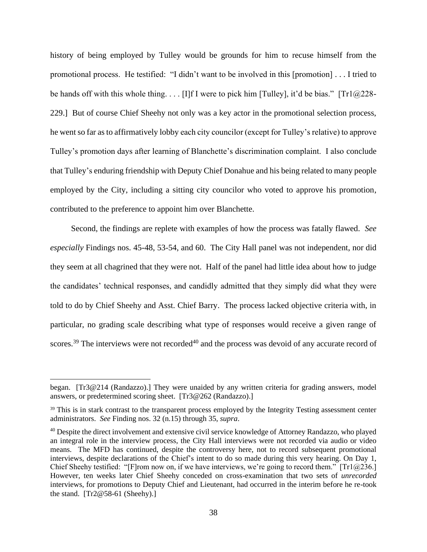history of being employed by Tulley would be grounds for him to recuse himself from the promotional process. He testified: "I didn't want to be involved in this [promotion] . . . I tried to be hands off with this whole thing. . . . [I]f I were to pick him [Tulley], it'd be bias." [Tr1@228- 229.] But of course Chief Sheehy not only was a key actor in the promotional selection process, he went so far as to affirmatively lobby each city councilor (except for Tulley's relative) to approve Tulley's promotion days after learning of Blanchette's discrimination complaint. I also conclude that Tulley's enduring friendship with Deputy Chief Donahue and his being related to many people employed by the City, including a sitting city councilor who voted to approve his promotion, contributed to the preference to appoint him over Blanchette.

 Second, the findings are replete with examples of how the process was fatally flawed. *See especially* Findings nos. 45-48, 53-54, and 60. The City Hall panel was not independent, nor did they seem at all chagrined that they were not. Half of the panel had little idea about how to judge the candidates' technical responses, and candidly admitted that they simply did what they were told to do by Chief Sheehy and Asst. Chief Barry. The process lacked objective criteria with, in particular, no grading scale describing what type of responses would receive a given range of scores.<sup>39</sup> The interviews were not recorded<sup>40</sup> and the process was devoid of any accurate record of

began. [Tr3@214 (Randazzo).] They were unaided by any written criteria for grading answers, model answers, or predetermined scoring sheet. [Tr3@262 (Randazzo).]

<sup>&</sup>lt;sup>39</sup> This is in stark contrast to the transparent process employed by the Integrity Testing assessment center administrators. *See* Finding nos. 32 (n.15) through 35, *supra*.

<sup>&</sup>lt;sup>40</sup> Despite the direct involvement and extensive civil service knowledge of Attorney Randazzo, who played an integral role in the interview process, the City Hall interviews were not recorded via audio or video means. The MFD has continued, despite the controversy here, not to record subsequent promotional interviews, despite declarations of the Chief's intent to do so made during this very hearing. On Day 1, Chief Sheehy testified: "[F]rom now on, if we have interviews, we're going to record them." [Tr1 $@236$ .] However, ten weeks later Chief Sheehy conceded on cross-examination that two sets of *unrecorded* interviews, for promotions to Deputy Chief and Lieutenant, had occurred in the interim before he re-took the stand.  $[Tr2@58-61$  (Sheehy).]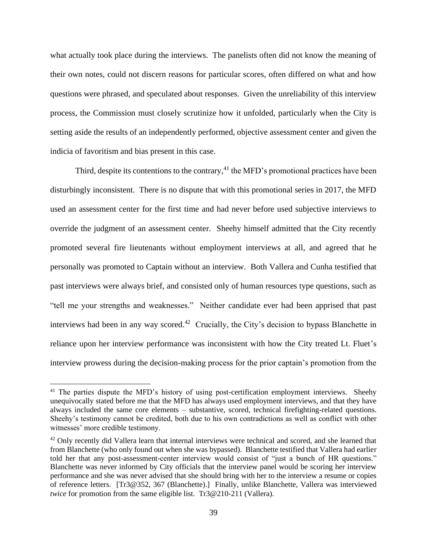what actually took place during the interviews. The panelists often did not know the meaning of their own notes, could not discern reasons for particular scores, often differed on what and how questions were phrased, and speculated about responses. Given the unreliability of this interview process, the Commission must closely scrutinize how it unfolded, particularly when the City is setting aside the results of an independently performed, objective assessment center and given the indicia of favoritism and bias present in this case.

Third, despite its contentions to the contrary,  $4<sup>1</sup>$  the MFD's promotional practices have been disturbingly inconsistent. There is no dispute that with this promotional series in 2017, the MFD used an assessment center for the first time and had never before used subjective interviews to override the judgment of an assessment center. Sheehy himself admitted that the City recently promoted several fire lieutenants without employment interviews at all, and agreed that he personally was promoted to Captain without an interview. Both Vallera and Cunha testified that past interviews were always brief, and consisted only of human resources type questions, such as "tell me your strengths and weaknesses." Neither candidate ever had been apprised that past interviews had been in any way scored.<sup>42</sup> Crucially, the City's decision to bypass Blanchette in reliance upon her interview performance was inconsistent with how the City treated Lt. Fluet's interview prowess during the decision-making process for the prior captain's promotion from the

<sup>&</sup>lt;sup>41</sup> The parties dispute the MFD's history of using post-certification employment interviews. Sheehy unequivocally stated before me that the MFD has always used employment interviews, and that they have always included the same core elements – substantive, scored, technical firefighting-related questions. Sheehy's testimony cannot be credited, both due to his own contradictions as well as conflict with other witnesses' more credible testimony.

<sup>&</sup>lt;sup>42</sup> Only recently did Vallera learn that internal interviews were technical and scored, and she learned that from Blanchette (who only found out when she was bypassed). Blanchette testified that Vallera had earlier told her that any post-assessment-center interview would consist of "just a bunch of HR questions." Blanchette was never informed by City officials that the interview panel would be scoring her interview performance and she was never advised that she should bring with her to the interview a resume or copies of reference letters. [Tr3@352, 367 (Blanchette).] Finally, unlike Blanchette, Vallera was interviewed *twice* for promotion from the same eligible list. Tr3@210-211 (Vallera).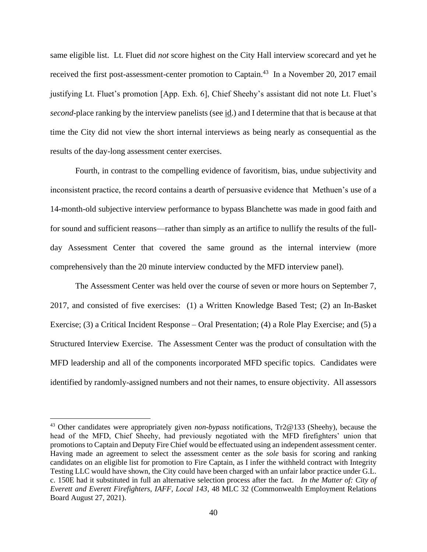same eligible list. Lt. Fluet did *not* score highest on the City Hall interview scorecard and yet he received the first post-assessment-center promotion to Captain.<sup>43</sup> In a November 20, 2017 email justifying Lt. Fluet's promotion [App. Exh. 6], Chief Sheehy's assistant did not note Lt. Fluet's *second*-place ranking by the interview panelists (see id.) and I determine that that is because at that time the City did not view the short internal interviews as being nearly as consequential as the results of the day-long assessment center exercises.

Fourth, in contrast to the compelling evidence of favoritism, bias, undue subjectivity and inconsistent practice, the record contains a dearth of persuasive evidence that Methuen's use of a 14-month-old subjective interview performance to bypass Blanchette was made in good faith and for sound and sufficient reasons—rather than simply as an artifice to nullify the results of the fullday Assessment Center that covered the same ground as the internal interview (more comprehensively than the 20 minute interview conducted by the MFD interview panel).

The Assessment Center was held over the course of seven or more hours on September 7, 2017, and consisted of five exercises: (1) a Written Knowledge Based Test; (2) an In-Basket Exercise; (3) a Critical Incident Response – Oral Presentation; (4) a Role Play Exercise; and (5) a Structured Interview Exercise. The Assessment Center was the product of consultation with the MFD leadership and all of the components incorporated MFD specific topics. Candidates were identified by randomly-assigned numbers and not their names, to ensure objectivity. All assessors

<sup>43</sup> Other candidates were appropriately given *non-bypass* notifications, Tr2@133 (Sheehy), because the head of the MFD, Chief Sheehy, had previously negotiated with the MFD firefighters' union that promotions to Captain and Deputy Fire Chief would be effectuated using an independent assessment center. Having made an agreement to select the assessment center as the *sole* basis for scoring and ranking candidates on an eligible list for promotion to Fire Captain, as I infer the withheld contract with Integrity Testing LLC would have shown, the City could have been charged with an unfair labor practice under G.L. c. 150E had it substituted in full an alternative selection process after the fact. *In the Matter of: City of Everett and Everett Firefighters, IAFF, Local 143*, 48 MLC 32 (Commonwealth Employment Relations Board August 27, 2021).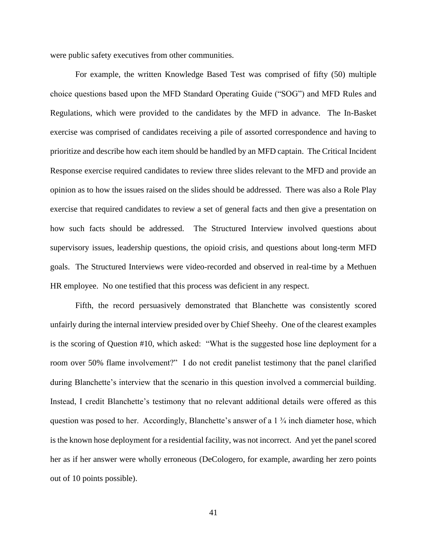were public safety executives from other communities.

For example, the written Knowledge Based Test was comprised of fifty (50) multiple choice questions based upon the MFD Standard Operating Guide ("SOG") and MFD Rules and Regulations, which were provided to the candidates by the MFD in advance. The In-Basket exercise was comprised of candidates receiving a pile of assorted correspondence and having to prioritize and describe how each item should be handled by an MFD captain. The Critical Incident Response exercise required candidates to review three slides relevant to the MFD and provide an opinion as to how the issues raised on the slides should be addressed. There was also a Role Play exercise that required candidates to review a set of general facts and then give a presentation on how such facts should be addressed. The Structured Interview involved questions about supervisory issues, leadership questions, the opioid crisis, and questions about long-term MFD goals. The Structured Interviews were video-recorded and observed in real-time by a Methuen HR employee. No one testified that this process was deficient in any respect.

Fifth, the record persuasively demonstrated that Blanchette was consistently scored unfairly during the internal interview presided over by Chief Sheehy. One of the clearest examples is the scoring of Question #10, which asked: "What is the suggested hose line deployment for a room over 50% flame involvement?" I do not credit panelist testimony that the panel clarified during Blanchette's interview that the scenario in this question involved a commercial building. Instead, I credit Blanchette's testimony that no relevant additional details were offered as this question was posed to her. Accordingly, Blanchette's answer of a  $1\frac{3}{4}$  inch diameter hose, which is the known hose deployment for a residential facility, was not incorrect. And yet the panel scored her as if her answer were wholly erroneous (DeCologero, for example, awarding her zero points out of 10 points possible).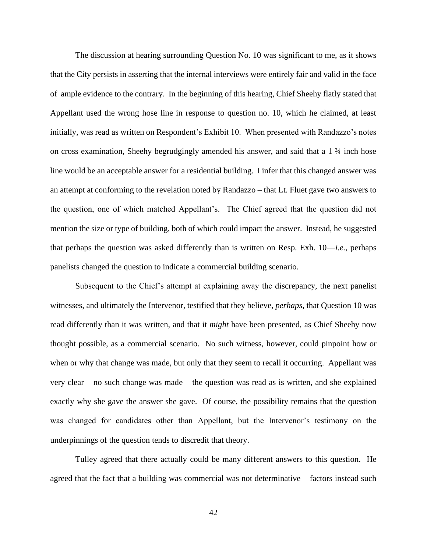The discussion at hearing surrounding Question No. 10 was significant to me, as it shows that the City persists in asserting that the internal interviews were entirely fair and valid in the face of ample evidence to the contrary. In the beginning of this hearing, Chief Sheehy flatly stated that Appellant used the wrong hose line in response to question no. 10, which he claimed, at least initially, was read as written on Respondent's Exhibit 10. When presented with Randazzo's notes on cross examination, Sheehy begrudgingly amended his answer, and said that a 1 ¾ inch hose line would be an acceptable answer for a residential building. I infer that this changed answer was an attempt at conforming to the revelation noted by Randazzo – that Lt. Fluet gave two answers to the question, one of which matched Appellant's. The Chief agreed that the question did not mention the size or type of building, both of which could impact the answer. Instead, he suggested that perhaps the question was asked differently than is written on Resp. Exh. 10—*i.e.*, perhaps panelists changed the question to indicate a commercial building scenario.

Subsequent to the Chief's attempt at explaining away the discrepancy, the next panelist witnesses, and ultimately the Intervenor, testified that they believe, *perhaps*, that Question 10 was read differently than it was written, and that it *might* have been presented, as Chief Sheehy now thought possible, as a commercial scenario. No such witness, however, could pinpoint how or when or why that change was made, but only that they seem to recall it occurring. Appellant was very clear – no such change was made – the question was read as is written, and she explained exactly why she gave the answer she gave. Of course, the possibility remains that the question was changed for candidates other than Appellant, but the Intervenor's testimony on the underpinnings of the question tends to discredit that theory.

Tulley agreed that there actually could be many different answers to this question. He agreed that the fact that a building was commercial was not determinative – factors instead such

42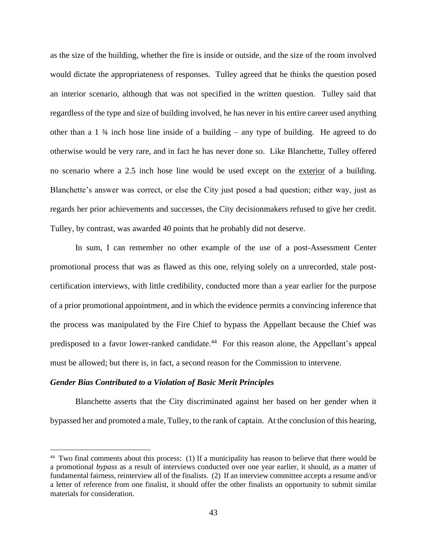as the size of the building, whether the fire is inside or outside, and the size of the room involved would dictate the appropriateness of responses. Tulley agreed that he thinks the question posed an interior scenario, although that was not specified in the written question. Tulley said that regardless of the type and size of building involved, he has never in his entire career used anything other than a  $1\frac{3}{4}$  inch hose line inside of a building – any type of building. He agreed to do otherwise would be very rare, and in fact he has never done so. Like Blanchette, Tulley offered no scenario where a 2.5 inch hose line would be used except on the exterior of a building. Blanchette's answer was correct, or else the City just posed a bad question; either way, just as regards her prior achievements and successes, the City decisionmakers refused to give her credit. Tulley, by contrast, was awarded 40 points that he probably did not deserve.

In sum, I can remember no other example of the use of a post-Assessment Center promotional process that was as flawed as this one, relying solely on a unrecorded, stale postcertification interviews, with little credibility, conducted more than a year earlier for the purpose of a prior promotional appointment, and in which the evidence permits a convincing inference that the process was manipulated by the Fire Chief to bypass the Appellant because the Chief was predisposed to a favor lower-ranked candidate.<sup>44</sup> For this reason alone, the Appellant's appeal must be allowed; but there is, in fact, a second reason for the Commission to intervene.

### *Gender Bias Contributed to a Violation of Basic Merit Principles*

Blanchette asserts that the City discriminated against her based on her gender when it bypassed her and promoted a male, Tulley, to the rank of captain. At the conclusion of this hearing,

<sup>44</sup> Two final comments about this process: (1) If a municipality has reason to believe that there would be a promotional *bypass* as a result of interviews conducted over one year earlier, it should, as a matter of fundamental fairness, reinterview all of the finalists. (2) If an interview committee accepts a resume and/or a letter of reference from one finalist, it should offer the other finalists an opportunity to submit similar materials for consideration.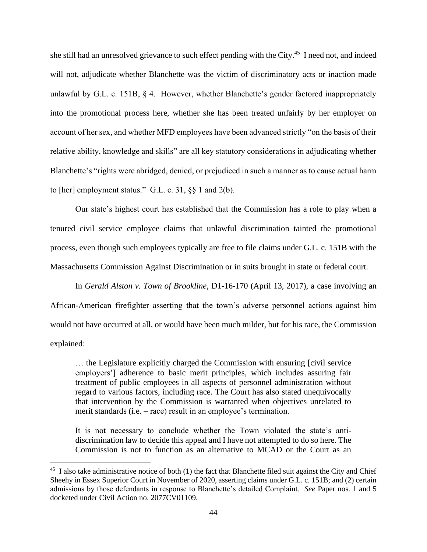she still had an unresolved grievance to such effect pending with the City.<sup>45</sup> I need not, and indeed will not, adjudicate whether Blanchette was the victim of discriminatory acts or inaction made unlawful by G.L. c. 151B, § 4. However, whether Blanchette's gender factored inappropriately into the promotional process here, whether she has been treated unfairly by her employer on account of her sex, and whether MFD employees have been advanced strictly "on the basis of their relative ability, knowledge and skills" are all key statutory considerations in adjudicating whether Blanchette's "rights were abridged, denied, or prejudiced in such a manner as to cause actual harm to [her] employment status." G.L. c. 31,  $\S\S$  1 and 2(b).

Our state's highest court has established that the Commission has a role to play when a tenured civil service employee claims that unlawful discrimination tainted the promotional process, even though such employees typically are free to file claims under G.L. c. 151B with the Massachusetts Commission Against Discrimination or in suits brought in state or federal court.

In *Gerald Alston v. Town of Brookline*, D1-16-170 (April 13, 2017), a case involving an African-American firefighter asserting that the town's adverse personnel actions against him would not have occurred at all, or would have been much milder, but for his race, the Commission explained:

… the Legislature explicitly charged the Commission with ensuring [civil service employers'] adherence to basic merit principles, which includes assuring fair treatment of public employees in all aspects of personnel administration without regard to various factors, including race. The Court has also stated unequivocally that intervention by the Commission is warranted when objectives unrelated to merit standards (i.e. – race) result in an employee's termination.

It is not necessary to conclude whether the Town violated the state's antidiscrimination law to decide this appeal and I have not attempted to do so here. The Commission is not to function as an alternative to MCAD or the Court as an

<sup>&</sup>lt;sup>45</sup> I also take administrative notice of both (1) the fact that Blanchette filed suit against the City and Chief Sheehy in Essex Superior Court in November of 2020, asserting claims under G.L. c. 151B; and (2) certain admissions by those defendants in response to Blanchette's detailed Complaint. *See* Paper nos. 1 and 5 docketed under Civil Action no. 2077CV01109.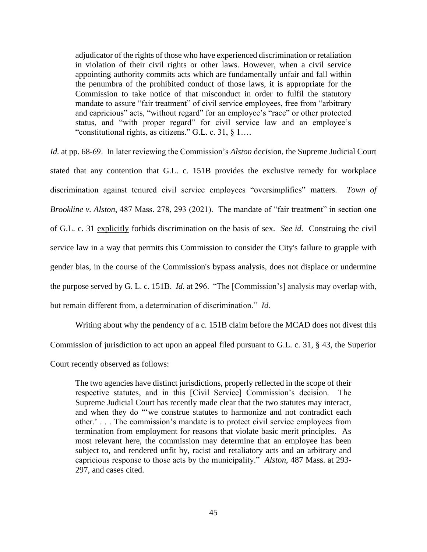adjudicator of the rights of those who have experienced discrimination or retaliation in violation of their civil rights or other laws. However, when a civil service appointing authority commits acts which are fundamentally unfair and fall within the penumbra of the prohibited conduct of those laws, it is appropriate for the Commission to take notice of that misconduct in order to fulfil the statutory mandate to assure "fair treatment" of civil service employees, free from "arbitrary and capricious" acts, "without regard" for an employee's "race" or other protected status, and "with proper regard" for civil service law and an employee's "constitutional rights, as citizens." G.L. c. 31, § 1….

*Id.* at pp. 68-69. In later reviewing the Commission's *Alston* decision, the Supreme Judicial Court stated that any contention that G.L. c. 151B provides the exclusive remedy for workplace discrimination against tenured civil service employees "oversimplifies" matters. *Town of Brookline v. Alston*, 487 Mass. 278, 293 (2021). The mandate of "fair treatment" in section one of G.L. c. 31 explicitly forbids discrimination on the basis of sex. *See id.* Construing the civil service law in a way that permits this Commission to consider the City's failure to grapple with gender bias, in the course of the Commission's bypass analysis, does not displace or undermine the purpose served by G. L. c. 151B. *Id*. at 296. "The [Commission's] analysis may overlap with, but remain different from, a determination of discrimination." *Id.*

Writing about why the pendency of a c. 151B claim before the MCAD does not divest this Commission of jurisdiction to act upon an appeal filed pursuant to G.L. c. 31, § 43, the Superior Court recently observed as follows:

The two agencies have distinct jurisdictions, properly reflected in the scope of their respective statutes, and in this [Civil Service] Commission's decision. The Supreme Judicial Court has recently made clear that the two statutes may interact, and when they do "'we construe statutes to harmonize and not contradict each other.' . . . The commission's mandate is to protect civil service employees from termination from employment for reasons that violate basic merit principles. As most relevant here, the commission may determine that an employee has been subject to, and rendered unfit by, racist and retaliatory acts and an arbitrary and capricious response to those acts by the municipality." *Alston*, 487 Mass. at 293- 297, and cases cited.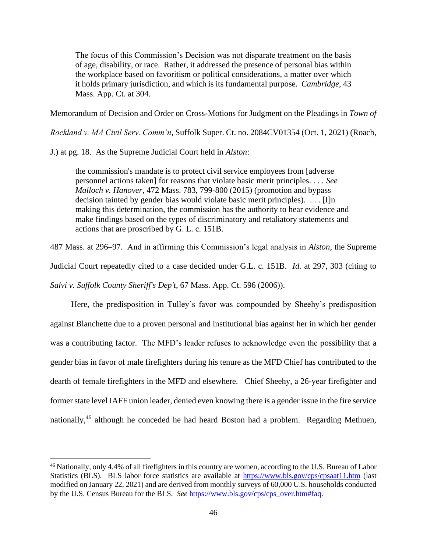The focus of this Commission's Decision was not disparate treatment on the basis of age, disability, or race. Rather, it addressed the presence of personal bias within the workplace based on favoritism or political considerations, a matter over which it holds primary jurisdiction, and which is its fundamental purpose. *Cambridge*, 43 Mass. App. Ct. at 304.

Memorandum of Decision and Order on Cross-Motions for Judgment on the Pleadings in *Town of* 

*Rockland v. MA Civil Serv. Comm'n*, Suffolk Super. Ct. no. 2084CV01354 (Oct. 1, 2021) (Roach,

J.) at pg. 18. As the Supreme Judicial Court held in *Alston*:

the commission's mandate is to protect civil service employees from [adverse personnel actions taken] for reasons that violate basic merit principles. . . . *See Malloch v. Hanover*, 472 Mass. 783, 799-800 (2015) (promotion and bypass decision tainted by gender bias would violate basic merit principles). . . . [I]n making this determination, the commission has the authority to hear evidence and make findings based on the types of discriminatory and retaliatory statements and actions that are proscribed by G. L. c. 151B.

487 Mass. at 296–97. And in affirming this Commission's legal analysis in *Alston*, the Supreme

Judicial Court repeatedly cited to a case decided under G.L. c. 151B. *Id.* at 297, 303 (citing to

*Salvi v. Suffolk County Sheriff's Dep't*, 67 Mass. App. Ct. 596 (2006)).

 Here, the predisposition in Tulley's favor was compounded by Sheehy's predisposition against Blanchette due to a proven personal and institutional bias against her in which her gender was a contributing factor. The MFD's leader refuses to acknowledge even the possibility that a gender bias in favor of male firefighters during his tenure as the MFD Chief has contributed to the dearth of female firefighters in the MFD and elsewhere. Chief Sheehy, a 26-year firefighter and former state level IAFF union leader, denied even knowing there is a gender issue in the fire service nationally,<sup>46</sup> although he conceded he had heard Boston had a problem. Regarding Methuen,

<sup>46</sup> Nationally, only 4.4% of all firefighters in this country are women, according to the U.S. Bureau of Labor Statistics (BLS). BLS labor force statistics are available at<https://www.bls.gov/cps/cpsaat11.htm> (last modified on January 22, 2021) and are derived from monthly surveys of 60,000 U.S. households conducted by the U.S. Census Bureau for the BLS. *See* [https://www.bls.gov/cps/cps\\_over.htm#faq.](https://www.bls.gov/cps/cps_over.htm#faq)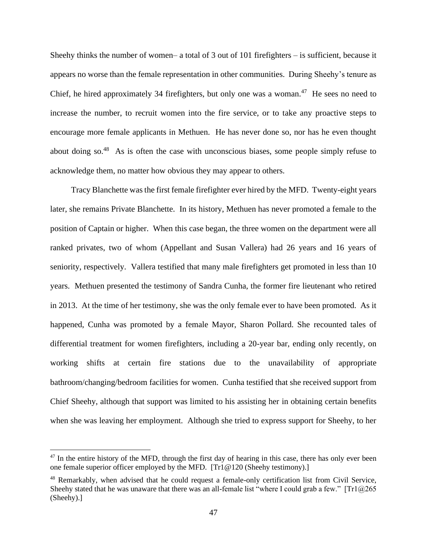Sheehy thinks the number of women– a total of 3 out of 101 firefighters – is sufficient, because it appears no worse than the female representation in other communities. During Sheehy's tenure as Chief, he hired approximately 34 firefighters, but only one was a woman. $47$  He sees no need to increase the number, to recruit women into the fire service, or to take any proactive steps to encourage more female applicants in Methuen. He has never done so, nor has he even thought about doing so.<sup>48</sup> As is often the case with unconscious biases, some people simply refuse to acknowledge them, no matter how obvious they may appear to others.

 Tracy Blanchette was the first female firefighter ever hired by the MFD. Twenty-eight years later, she remains Private Blanchette. In its history, Methuen has never promoted a female to the position of Captain or higher. When this case began, the three women on the department were all ranked privates, two of whom (Appellant and Susan Vallera) had 26 years and 16 years of seniority, respectively. Vallera testified that many male firefighters get promoted in less than 10 years. Methuen presented the testimony of Sandra Cunha, the former fire lieutenant who retired in 2013. At the time of her testimony, she was the only female ever to have been promoted. As it happened, Cunha was promoted by a female Mayor, Sharon Pollard. She recounted tales of differential treatment for women firefighters, including a 20-year bar, ending only recently, on working shifts at certain fire stations due to the unavailability of appropriate bathroom/changing/bedroom facilities for women. Cunha testified that she received support from Chief Sheehy, although that support was limited to his assisting her in obtaining certain benefits when she was leaving her employment. Although she tried to express support for Sheehy, to her

 $47$  In the entire history of the MFD, through the first day of hearing in this case, there has only ever been one female superior officer employed by the MFD. [Tr1@120 (Sheehy testimony).]

<sup>48</sup> Remarkably, when advised that he could request a female-only certification list from Civil Service, Sheehy stated that he was unaware that there was an all-female list "where I could grab a few."  $[Tr1@265$ (Sheehy).]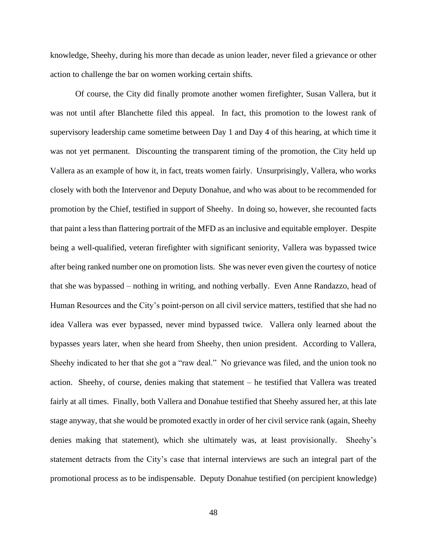knowledge, Sheehy, during his more than decade as union leader, never filed a grievance or other action to challenge the bar on women working certain shifts.

Of course, the City did finally promote another women firefighter, Susan Vallera, but it was not until after Blanchette filed this appeal. In fact, this promotion to the lowest rank of supervisory leadership came sometime between Day 1 and Day 4 of this hearing, at which time it was not yet permanent. Discounting the transparent timing of the promotion, the City held up Vallera as an example of how it, in fact, treats women fairly. Unsurprisingly, Vallera, who works closely with both the Intervenor and Deputy Donahue, and who was about to be recommended for promotion by the Chief, testified in support of Sheehy. In doing so, however, she recounted facts that paint a less than flattering portrait of the MFD as an inclusive and equitable employer. Despite being a well-qualified, veteran firefighter with significant seniority, Vallera was bypassed twice after being ranked number one on promotion lists. She was never even given the courtesy of notice that she was bypassed – nothing in writing, and nothing verbally. Even Anne Randazzo, head of Human Resources and the City's point-person on all civil service matters, testified that she had no idea Vallera was ever bypassed, never mind bypassed twice. Vallera only learned about the bypasses years later, when she heard from Sheehy, then union president. According to Vallera, Sheehy indicated to her that she got a "raw deal." No grievance was filed, and the union took no action. Sheehy, of course, denies making that statement – he testified that Vallera was treated fairly at all times. Finally, both Vallera and Donahue testified that Sheehy assured her, at this late stage anyway, that she would be promoted exactly in order of her civil service rank (again, Sheehy denies making that statement), which she ultimately was, at least provisionally. Sheehy's statement detracts from the City's case that internal interviews are such an integral part of the promotional process as to be indispensable. Deputy Donahue testified (on percipient knowledge)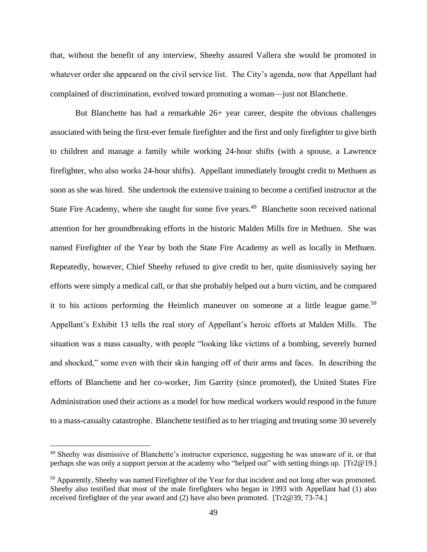that, without the benefit of any interview, Sheehy assured Vallera she would be promoted in whatever order she appeared on the civil service list. The City's agenda, now that Appellant had complained of discrimination, evolved toward promoting a woman—just not Blanchette.

But Blanchette has had a remarkable 26+ year career, despite the obvious challenges associated with being the first-ever female firefighter and the first and only firefighter to give birth to children and manage a family while working 24-hour shifts (with a spouse, a Lawrence firefighter, who also works 24-hour shifts). Appellant immediately brought credit to Methuen as soon as she was hired. She undertook the extensive training to become a certified instructor at the State Fire Academy, where she taught for some five years.<sup>49</sup> Blanchette soon received national attention for her groundbreaking efforts in the historic Malden Mills fire in Methuen. She was named Firefighter of the Year by both the State Fire Academy as well as locally in Methuen. Repeatedly, however, Chief Sheehy refused to give credit to her, quite dismissively saying her efforts were simply a medical call, or that she probably helped out a burn victim, and he compared it to his actions performing the Heimlich maneuver on someone at a little league game.<sup>50</sup> Appellant's Exhibit 13 tells the real story of Appellant's heroic efforts at Malden Mills. The situation was a mass casualty, with people "looking like victims of a bombing, severely burned and shocked," some even with their skin hanging off of their arms and faces. In describing the efforts of Blanchette and her co-worker, Jim Garrity (since promoted), the United States Fire Administration used their actions as a model for how medical workers would respond in the future to a mass-casualty catastrophe. Blanchette testified as to her triaging and treating some 30 severely

<sup>49</sup> Sheehy was dismissive of Blanchette's instructor experience, suggesting he was unaware of it, or that perhaps she was only a support person at the academy who "helped out" with setting things up. [Tr2@19.]

<sup>&</sup>lt;sup>50</sup> Apparently, Sheehy was named Firefighter of the Year for that incident and not long after was promoted. Sheehy also testified that most of the male firefighters who began in 1993 with Appellant had (1) also received firefighter of the year award and (2) have also been promoted. [Tr2@39, 73-74.]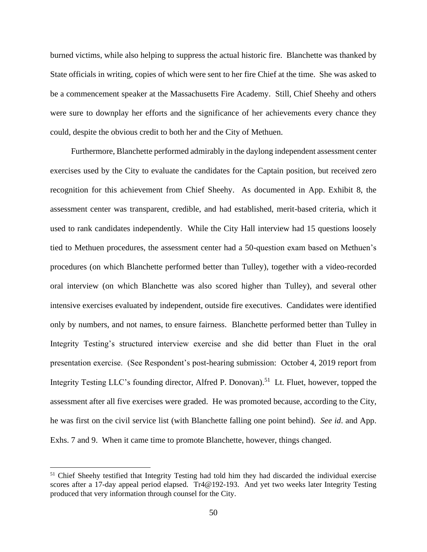burned victims, while also helping to suppress the actual historic fire. Blanchette was thanked by State officials in writing, copies of which were sent to her fire Chief at the time. She was asked to be a commencement speaker at the Massachusetts Fire Academy. Still, Chief Sheehy and others were sure to downplay her efforts and the significance of her achievements every chance they could, despite the obvious credit to both her and the City of Methuen.

 Furthermore, Blanchette performed admirably in the daylong independent assessment center exercises used by the City to evaluate the candidates for the Captain position, but received zero recognition for this achievement from Chief Sheehy. As documented in App. Exhibit 8, the assessment center was transparent, credible, and had established, merit-based criteria, which it used to rank candidates independently. While the City Hall interview had 15 questions loosely tied to Methuen procedures, the assessment center had a 50-question exam based on Methuen's procedures (on which Blanchette performed better than Tulley), together with a video-recorded oral interview (on which Blanchette was also scored higher than Tulley), and several other intensive exercises evaluated by independent, outside fire executives. Candidates were identified only by numbers, and not names, to ensure fairness. Blanchette performed better than Tulley in Integrity Testing's structured interview exercise and she did better than Fluet in the oral presentation exercise. (See Respondent's post-hearing submission: October 4, 2019 report from Integrity Testing LLC's founding director, Alfred P. Donovan).<sup>51</sup> Lt. Fluet, however, topped the assessment after all five exercises were graded. He was promoted because, according to the City, he was first on the civil service list (with Blanchette falling one point behind). *See id*. and App. Exhs. 7 and 9. When it came time to promote Blanchette, however, things changed.

<sup>&</sup>lt;sup>51</sup> Chief Sheehy testified that Integrity Testing had told him they had discarded the individual exercise scores after a 17-day appeal period elapsed. Tr4@192-193. And yet two weeks later Integrity Testing produced that very information through counsel for the City.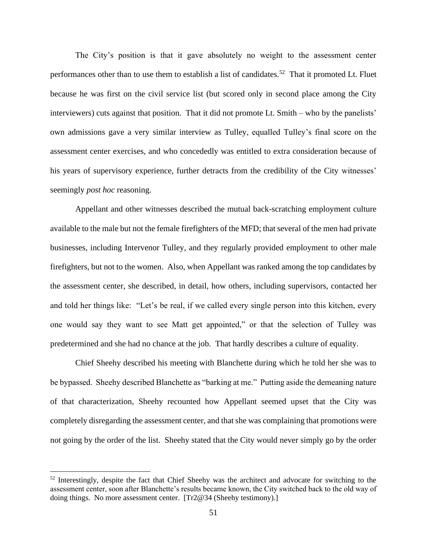The City's position is that it gave absolutely no weight to the assessment center performances other than to use them to establish a list of candidates.<sup>52</sup> That it promoted Lt. Fluet because he was first on the civil service list (but scored only in second place among the City interviewers) cuts against that position. That it did not promote Lt. Smith – who by the panelists' own admissions gave a very similar interview as Tulley, equalled Tulley's final score on the assessment center exercises, and who concededly was entitled to extra consideration because of his years of supervisory experience, further detracts from the credibility of the City witnesses' seemingly *post hoc* reasoning.

Appellant and other witnesses described the mutual back-scratching employment culture available to the male but not the female firefighters of the MFD; that several of the men had private businesses, including Intervenor Tulley, and they regularly provided employment to other male firefighters, but not to the women. Also, when Appellant was ranked among the top candidates by the assessment center, she described, in detail, how others, including supervisors, contacted her and told her things like: "Let's be real, if we called every single person into this kitchen, every one would say they want to see Matt get appointed," or that the selection of Tulley was predetermined and she had no chance at the job. That hardly describes a culture of equality.

Chief Sheehy described his meeting with Blanchette during which he told her she was to be bypassed. Sheehy described Blanchette as "barking at me." Putting aside the demeaning nature of that characterization, Sheehy recounted how Appellant seemed upset that the City was completely disregarding the assessment center, and that she was complaining that promotions were not going by the order of the list. Sheehy stated that the City would never simply go by the order

<sup>&</sup>lt;sup>52</sup> Interestingly, despite the fact that Chief Sheehy was the architect and advocate for switching to the assessment center, soon after Blanchette's results became known, the City switched back to the old way of doing things. No more assessment center. [Tr2@34 (Sheehy testimony).]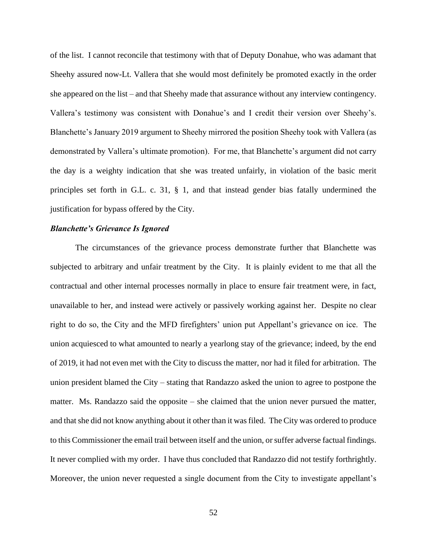of the list. I cannot reconcile that testimony with that of Deputy Donahue, who was adamant that Sheehy assured now-Lt. Vallera that she would most definitely be promoted exactly in the order she appeared on the list – and that Sheehy made that assurance without any interview contingency. Vallera's testimony was consistent with Donahue's and I credit their version over Sheehy's. Blanchette's January 2019 argument to Sheehy mirrored the position Sheehy took with Vallera (as demonstrated by Vallera's ultimate promotion). For me, that Blanchette's argument did not carry the day is a weighty indication that she was treated unfairly, in violation of the basic merit principles set forth in G.L. c. 31, § 1, and that instead gender bias fatally undermined the justification for bypass offered by the City.

### *Blanchette's Grievance Is Ignored*

The circumstances of the grievance process demonstrate further that Blanchette was subjected to arbitrary and unfair treatment by the City. It is plainly evident to me that all the contractual and other internal processes normally in place to ensure fair treatment were, in fact, unavailable to her, and instead were actively or passively working against her. Despite no clear right to do so, the City and the MFD firefighters' union put Appellant's grievance on ice. The union acquiesced to what amounted to nearly a yearlong stay of the grievance; indeed, by the end of 2019, it had not even met with the City to discuss the matter, nor had it filed for arbitration. The union president blamed the City – stating that Randazzo asked the union to agree to postpone the matter. Ms. Randazzo said the opposite – she claimed that the union never pursued the matter, and that she did not know anything about it other than it was filed. The City was ordered to produce to this Commissioner the email trail between itself and the union, or suffer adverse factual findings. It never complied with my order. I have thus concluded that Randazzo did not testify forthrightly. Moreover, the union never requested a single document from the City to investigate appellant's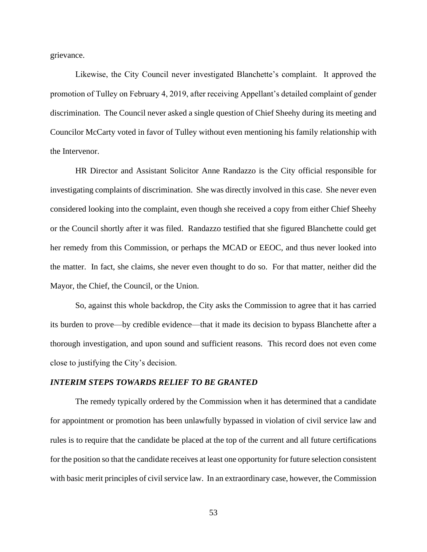grievance.

Likewise, the City Council never investigated Blanchette's complaint. It approved the promotion of Tulley on February 4, 2019, after receiving Appellant's detailed complaint of gender discrimination. The Council never asked a single question of Chief Sheehy during its meeting and Councilor McCarty voted in favor of Tulley without even mentioning his family relationship with the Intervenor.

HR Director and Assistant Solicitor Anne Randazzo is the City official responsible for investigating complaints of discrimination. She was directly involved in this case. She never even considered looking into the complaint, even though she received a copy from either Chief Sheehy or the Council shortly after it was filed. Randazzo testified that she figured Blanchette could get her remedy from this Commission, or perhaps the MCAD or EEOC, and thus never looked into the matter. In fact, she claims, she never even thought to do so. For that matter, neither did the Mayor, the Chief, the Council, or the Union.

So, against this whole backdrop, the City asks the Commission to agree that it has carried its burden to prove—by credible evidence—that it made its decision to bypass Blanchette after a thorough investigation, and upon sound and sufficient reasons. This record does not even come close to justifying the City's decision.

### *INTERIM STEPS TOWARDS RELIEF TO BE GRANTED*

The remedy typically ordered by the Commission when it has determined that a candidate for appointment or promotion has been unlawfully bypassed in violation of civil service law and rules is to require that the candidate be placed at the top of the current and all future certifications for the position so that the candidate receives at least one opportunity for future selection consistent with basic merit principles of civil service law. In an extraordinary case, however, the Commission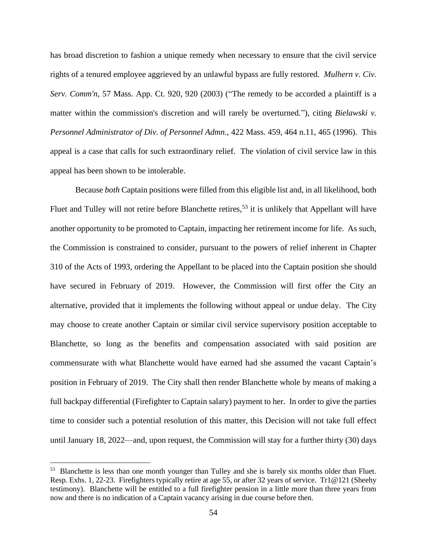has broad discretion to fashion a unique remedy when necessary to ensure that the civil service rights of a tenured employee aggrieved by an unlawful bypass are fully restored. *Mulhern v. Civ. Serv. Comm'n*, 57 Mass. App. Ct. 920, 920 (2003) ("The remedy to be accorded a plaintiff is a matter within the commission's discretion and will rarely be overturned."), citing *Bielawski v. Personnel Administrator of Div. of Personnel Admn.*, 422 Mass. 459, 464 n.11, 465 (1996). This appeal is a case that calls for such extraordinary relief. The violation of civil service law in this appeal has been shown to be intolerable.

Because *both* Captain positions were filled from this eligible list and, in all likelihood, both Fluet and Tulley will not retire before Blanchette retires,<sup>53</sup> it is unlikely that Appellant will have another opportunity to be promoted to Captain, impacting her retirement income for life. As such, the Commission is constrained to consider, pursuant to the powers of relief inherent in Chapter 310 of the Acts of 1993, ordering the Appellant to be placed into the Captain position she should have secured in February of 2019. However, the Commission will first offer the City an alternative, provided that it implements the following without appeal or undue delay. The City may choose to create another Captain or similar civil service supervisory position acceptable to Blanchette, so long as the benefits and compensation associated with said position are commensurate with what Blanchette would have earned had she assumed the vacant Captain's position in February of 2019. The City shall then render Blanchette whole by means of making a full backpay differential (Firefighter to Captain salary) payment to her. In order to give the parties time to consider such a potential resolution of this matter, this Decision will not take full effect until January 18, 2022—and, upon request, the Commission will stay for a further thirty (30) days

<sup>&</sup>lt;sup>53</sup> Blanchette is less than one month younger than Tulley and she is barely six months older than Fluet. Resp. Exhs. 1, 22-23. Firefighters typically retire at age 55, or after 32 years of service. Tr1@121 (Sheehy testimony). Blanchette will be entitled to a full firefighter pension in a little more than three years from now and there is no indication of a Captain vacancy arising in due course before then.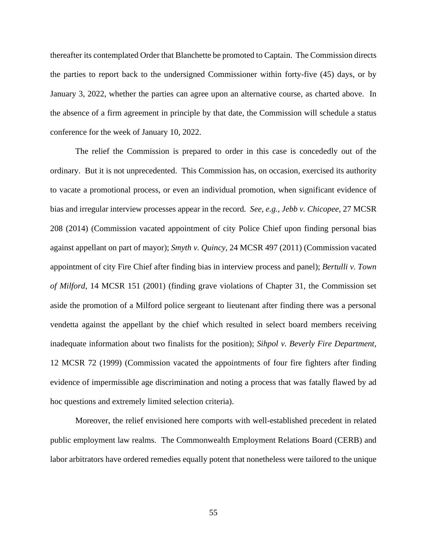thereafter its contemplated Order that Blanchette be promoted to Captain. The Commission directs the parties to report back to the undersigned Commissioner within forty-five (45) days, or by January 3, 2022, whether the parties can agree upon an alternative course, as charted above. In the absence of a firm agreement in principle by that date, the Commission will schedule a status conference for the week of January 10, 2022.

The relief the Commission is prepared to order in this case is concededly out of the ordinary. But it is not unprecedented. This Commission has, on occasion, exercised its authority to vacate a promotional process, or even an individual promotion, when significant evidence of bias and irregular interview processes appear in the record*. See, e.g., Jebb v. Chicopee*, 27 MCSR 208 (2014) (Commission vacated appointment of city Police Chief upon finding personal bias against appellant on part of mayor); *Smyth v. Quincy*, 24 MCSR 497 (2011) (Commission vacated appointment of city Fire Chief after finding bias in interview process and panel); *Bertulli v. Town of Milford*, 14 MCSR 151 (2001) (finding grave violations of Chapter 31, the Commission set aside the promotion of a Milford police sergeant to lieutenant after finding there was a personal vendetta against the appellant by the chief which resulted in select board members receiving inadequate information about two finalists for the position); *Sihpol v. Beverly Fire Department*, 12 MCSR 72 (1999) (Commission vacated the appointments of four fire fighters after finding evidence of impermissible age discrimination and noting a process that was fatally flawed by ad hoc questions and extremely limited selection criteria).

Moreover, the relief envisioned here comports with well-established precedent in related public employment law realms. The Commonwealth Employment Relations Board (CERB) and labor arbitrators have ordered remedies equally potent that nonetheless were tailored to the unique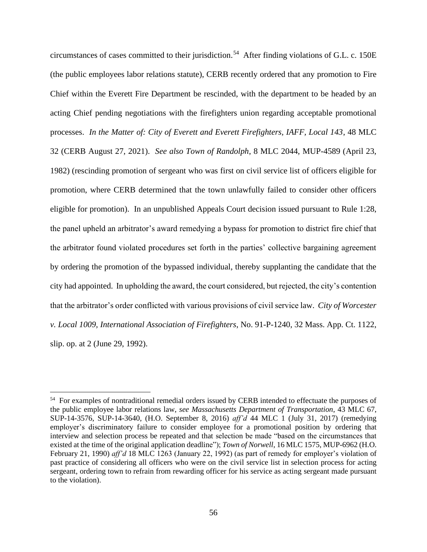circumstances of cases committed to their jurisdiction.<sup>54</sup> After finding violations of G.L. c. 150E (the public employees labor relations statute), CERB recently ordered that any promotion to Fire Chief within the Everett Fire Department be rescinded, with the department to be headed by an acting Chief pending negotiations with the firefighters union regarding acceptable promotional processes. *In the Matter of: City of Everett and Everett Firefighters, IAFF, Local 143*, 48 MLC 32 (CERB August 27, 2021). *See also Town of Randolph*, 8 MLC 2044, MUP-4589 (April 23, 1982) (rescinding promotion of sergeant who was first on civil service list of officers eligible for promotion, where CERB determined that the town unlawfully failed to consider other officers eligible for promotion). In an unpublished Appeals Court decision issued pursuant to Rule 1:28, the panel upheld an arbitrator's award remedying a bypass for promotion to district fire chief that the arbitrator found violated procedures set forth in the parties' collective bargaining agreement by ordering the promotion of the bypassed individual, thereby supplanting the candidate that the city had appointed. In upholding the award, the court considered, but rejected, the city's contention that the arbitrator's order conflicted with various provisions of civil service law. *City of Worcester v. Local 1009, International Association of Firefighters*, No. 91-P-1240, 32 Mass. App. Ct. 1122, slip. op. at 2 (June 29, 1992).

<sup>&</sup>lt;sup>54</sup> For examples of nontraditional remedial orders issued by CERB intended to effectuate the purposes of the public employee labor relations law, *see Massachusetts Department of Transportation*, 43 MLC 67, SUP-14-3576, SUP-14-3640, (H.O. September 8, 2016) *aff'd* 44 MLC 1 (July 31, 2017) (remedying employer's discriminatory failure to consider employee for a promotional position by ordering that interview and selection process be repeated and that selection be made "based on the circumstances that existed at the time of the original application deadline"); *Town of Norwell*, 16 MLC 1575, MUP-6962 (H.O. February 21, 1990) *aff'd* 18 MLC 1263 (January 22, 1992) (as part of remedy for employer's violation of past practice of considering all officers who were on the civil service list in selection process for acting sergeant, ordering town to refrain from rewarding officer for his service as acting sergeant made pursuant to the violation).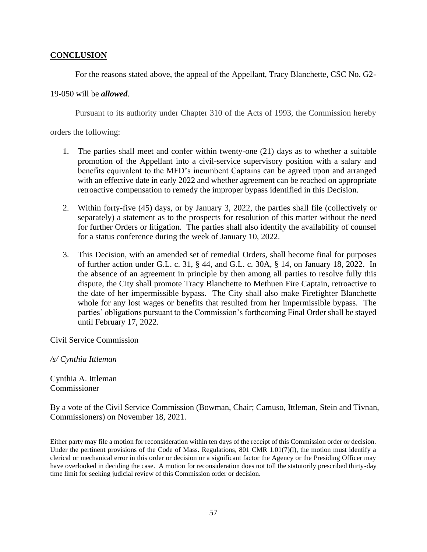# **CONCLUSION**

For the reasons stated above, the appeal of the Appellant, Tracy Blanchette, CSC No. G2-

# 19-050 will be *allowed*.

Pursuant to its authority under Chapter 310 of the Acts of 1993, the Commission hereby

orders the following:

- 1. The parties shall meet and confer within twenty-one (21) days as to whether a suitable promotion of the Appellant into a civil-service supervisory position with a salary and benefits equivalent to the MFD's incumbent Captains can be agreed upon and arranged with an effective date in early 2022 and whether agreement can be reached on appropriate retroactive compensation to remedy the improper bypass identified in this Decision.
- 2. Within forty-five (45) days, or by January 3, 2022, the parties shall file (collectively or separately) a statement as to the prospects for resolution of this matter without the need for further Orders or litigation. The parties shall also identify the availability of counsel for a status conference during the week of January 10, 2022.
- 3. This Decision, with an amended set of remedial Orders, shall become final for purposes of further action under G.L. c. 31, § 44, and G.L. c. 30A, § 14, on January 18, 2022. In the absence of an agreement in principle by then among all parties to resolve fully this dispute, the City shall promote Tracy Blanchette to Methuen Fire Captain, retroactive to the date of her impermissible bypass. The City shall also make Firefighter Blanchette whole for any lost wages or benefits that resulted from her impermissible bypass. The parties' obligations pursuant to the Commission's forthcoming Final Order shall be stayed until February 17, 2022.

Civil Service Commission

## */s/ Cynthia Ittleman*

Cynthia A. Ittleman Commissioner

By a vote of the Civil Service Commission (Bowman, Chair; Camuso, Ittleman, Stein and Tivnan, Commissioners) on November 18, 2021.

Either party may file a motion for reconsideration within ten days of the receipt of this Commission order or decision. Under the pertinent provisions of the Code of Mass. Regulations, 801 CMR 1.01(7)(1), the motion must identify a clerical or mechanical error in this order or decision or a significant factor the Agency or the Presiding Officer may have overlooked in deciding the case. A motion for reconsideration does not toll the statutorily prescribed thirty-day time limit for seeking judicial review of this Commission order or decision.